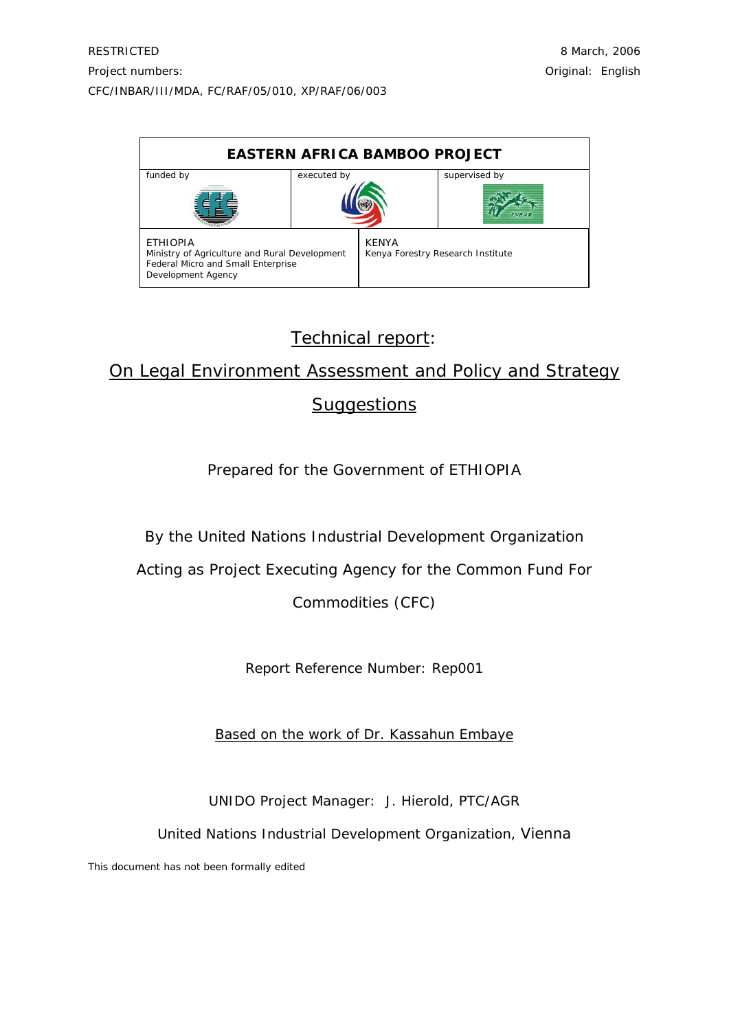| <b>EASTERN AFRICA BAMBOO PROJECT</b>                                                                                         |             |              |                                   |  |
|------------------------------------------------------------------------------------------------------------------------------|-------------|--------------|-----------------------------------|--|
| funded by                                                                                                                    | executed by |              | supervised by<br><b>INBAR</b>     |  |
| <b>ETHIOPIA</b><br>Ministry of Agriculture and Rural Development<br>Federal Micro and Small Enterprise<br>Development Agency |             | <b>KENYA</b> | Kenya Forestry Research Institute |  |

# Technical report:

# On Legal Environment Assessment and Policy and Strategy **Suggestions**

## Prepared for the Government of ETHIOPIA

By the United Nations Industrial Development Organization

Acting as Project Executing Agency for the Common Fund For

Commodities (CFC)

Report Reference Number: Rep001

Based on the work of Dr. Kassahun Embaye

UNIDO Project Manager: J. Hierold, PTC/AGR

United Nations Industrial Development Organization, Vienna

This document has not been formally edited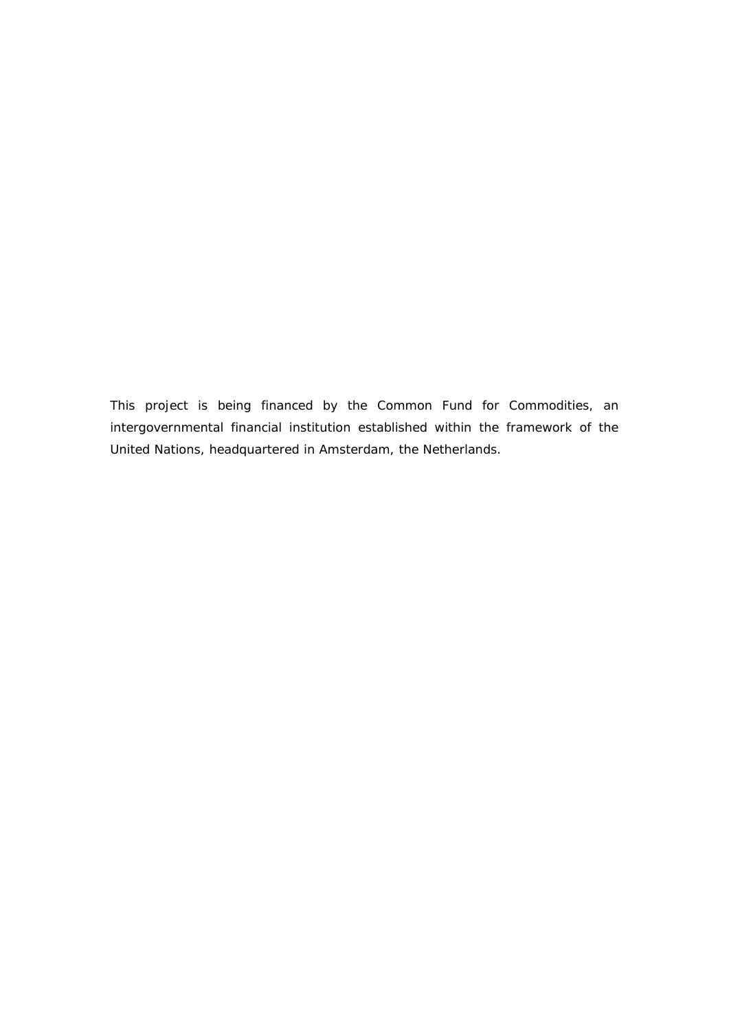This project is being financed by the Common Fund for Commodities, an intergovernmental financial institution established within the framework of the United Nations, headquartered in Amsterdam, the Netherlands.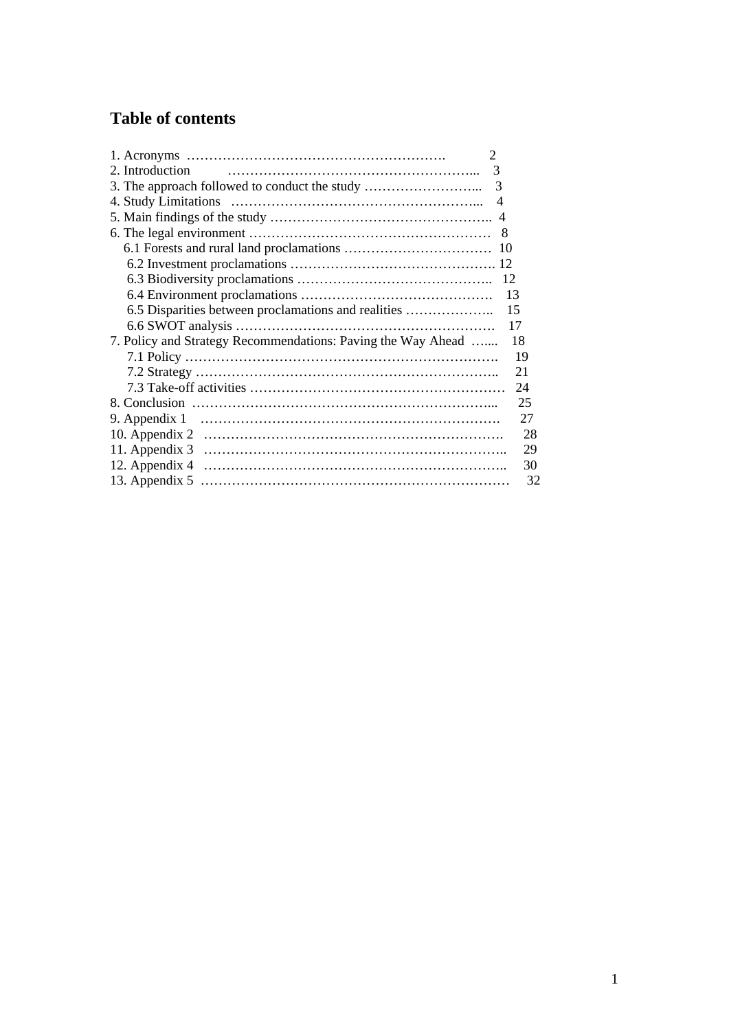# **Table of contents**

| $\overline{2}$                                                     |
|--------------------------------------------------------------------|
| 2. Introduction<br>3                                               |
| 3. The approach followed to conduct the study<br>3                 |
| $\overline{4}$                                                     |
|                                                                    |
| 8                                                                  |
|                                                                    |
|                                                                    |
| 12                                                                 |
| 13                                                                 |
| 6.5 Disparities between proclamations and realities<br>15          |
| 17                                                                 |
| 7. Policy and Strategy Recommendations: Paving the Way Ahead<br>18 |
| 19                                                                 |
| 21                                                                 |
| 24                                                                 |
| 25                                                                 |
| 27<br>9. Appendix 1                                                |
| 28                                                                 |
| 29                                                                 |
| 30                                                                 |
| 32                                                                 |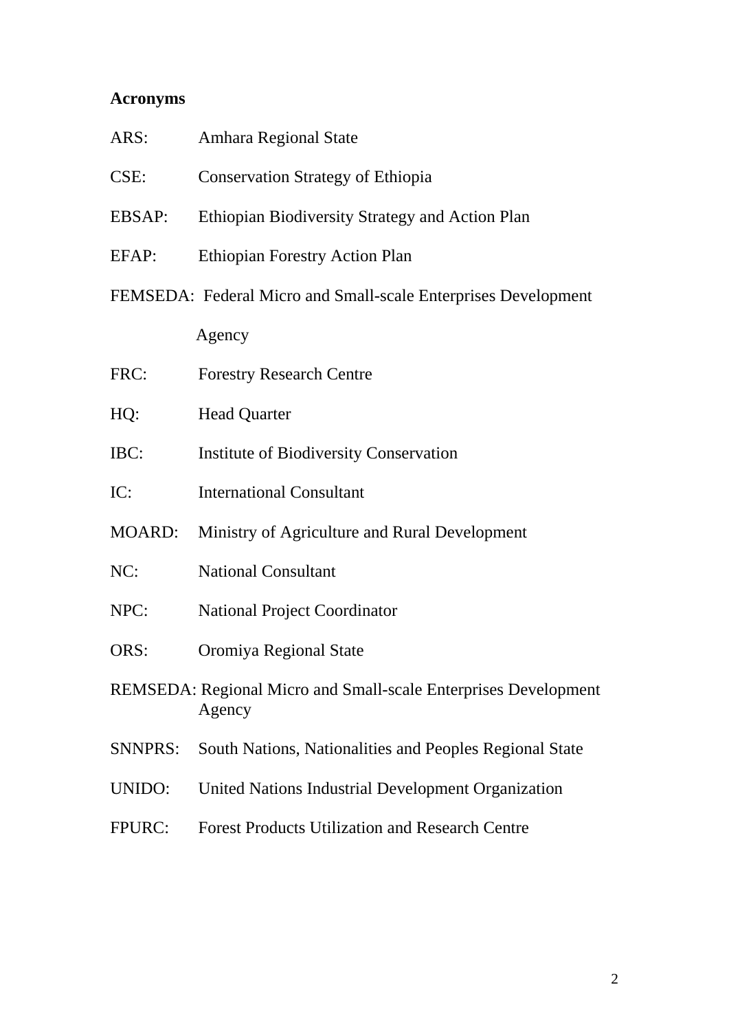## **Acronyms**

| ARS:          | Amhara Regional State                                          |  |  |
|---------------|----------------------------------------------------------------|--|--|
| CSE:          | <b>Conservation Strategy of Ethiopia</b>                       |  |  |
| <b>EBSAP:</b> | Ethiopian Biodiversity Strategy and Action Plan                |  |  |
| EFAP:         | <b>Ethiopian Forestry Action Plan</b>                          |  |  |
|               | FEMSEDA: Federal Micro and Small-scale Enterprises Development |  |  |
|               | Agency                                                         |  |  |
| FRC:          | <b>Forestry Research Centre</b>                                |  |  |
| HQ:           | <b>Head Quarter</b>                                            |  |  |

- 
- IBC: Institute of Biodiversity Conservation
- IC: International Consultant
- MOARD: Ministry of Agriculture and Rural Development
- NC: National Consultant
- NPC: National Project Coordinator
- ORS: Oromiya Regional State
- REMSEDA: Regional Micro and Small-scale Enterprises Development Agency
- SNNPRS: South Nations, Nationalities and Peoples Regional State
- UNIDO: United Nations Industrial Development Organization
- FPURC: Forest Products Utilization and Research Centre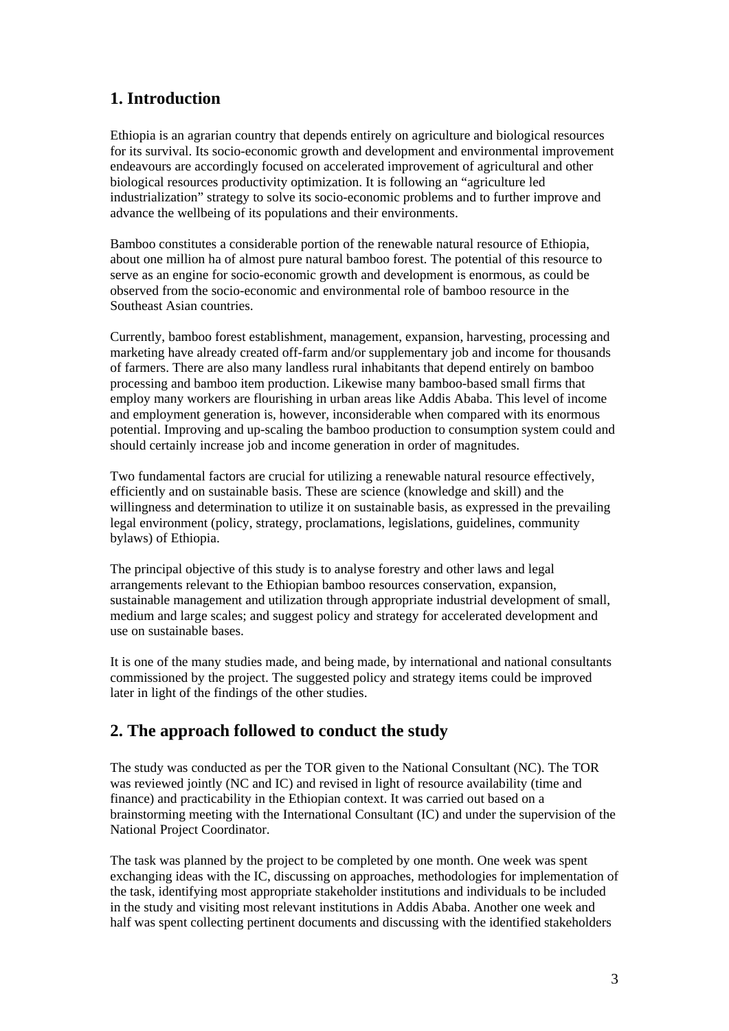## **1. Introduction**

Ethiopia is an agrarian country that depends entirely on agriculture and biological resources for its survival. Its socio-economic growth and development and environmental improvement endeavours are accordingly focused on accelerated improvement of agricultural and other biological resources productivity optimization. It is following an "agriculture led industrialization" strategy to solve its socio-economic problems and to further improve and advance the wellbeing of its populations and their environments.

Bamboo constitutes a considerable portion of the renewable natural resource of Ethiopia, about one million ha of almost pure natural bamboo forest. The potential of this resource to serve as an engine for socio-economic growth and development is enormous, as could be observed from the socio-economic and environmental role of bamboo resource in the Southeast Asian countries.

Currently, bamboo forest establishment, management, expansion, harvesting, processing and marketing have already created off-farm and/or supplementary job and income for thousands of farmers. There are also many landless rural inhabitants that depend entirely on bamboo processing and bamboo item production. Likewise many bamboo-based small firms that employ many workers are flourishing in urban areas like Addis Ababa. This level of income and employment generation is, however, inconsiderable when compared with its enormous potential. Improving and up-scaling the bamboo production to consumption system could and should certainly increase job and income generation in order of magnitudes.

Two fundamental factors are crucial for utilizing a renewable natural resource effectively, efficiently and on sustainable basis. These are science (knowledge and skill) and the willingness and determination to utilize it on sustainable basis, as expressed in the prevailing legal environment (policy, strategy, proclamations, legislations, guidelines, community bylaws) of Ethiopia.

The principal objective of this study is to analyse forestry and other laws and legal arrangements relevant to the Ethiopian bamboo resources conservation, expansion, sustainable management and utilization through appropriate industrial development of small, medium and large scales; and suggest policy and strategy for accelerated development and use on sustainable bases.

It is one of the many studies made, and being made, by international and national consultants commissioned by the project. The suggested policy and strategy items could be improved later in light of the findings of the other studies.

## **2. The approach followed to conduct the study**

The study was conducted as per the TOR given to the National Consultant (NC). The TOR was reviewed jointly (NC and IC) and revised in light of resource availability (time and finance) and practicability in the Ethiopian context. It was carried out based on a brainstorming meeting with the International Consultant (IC) and under the supervision of the National Project Coordinator.

The task was planned by the project to be completed by one month. One week was spent exchanging ideas with the IC, discussing on approaches, methodologies for implementation of the task, identifying most appropriate stakeholder institutions and individuals to be included in the study and visiting most relevant institutions in Addis Ababa. Another one week and half was spent collecting pertinent documents and discussing with the identified stakeholders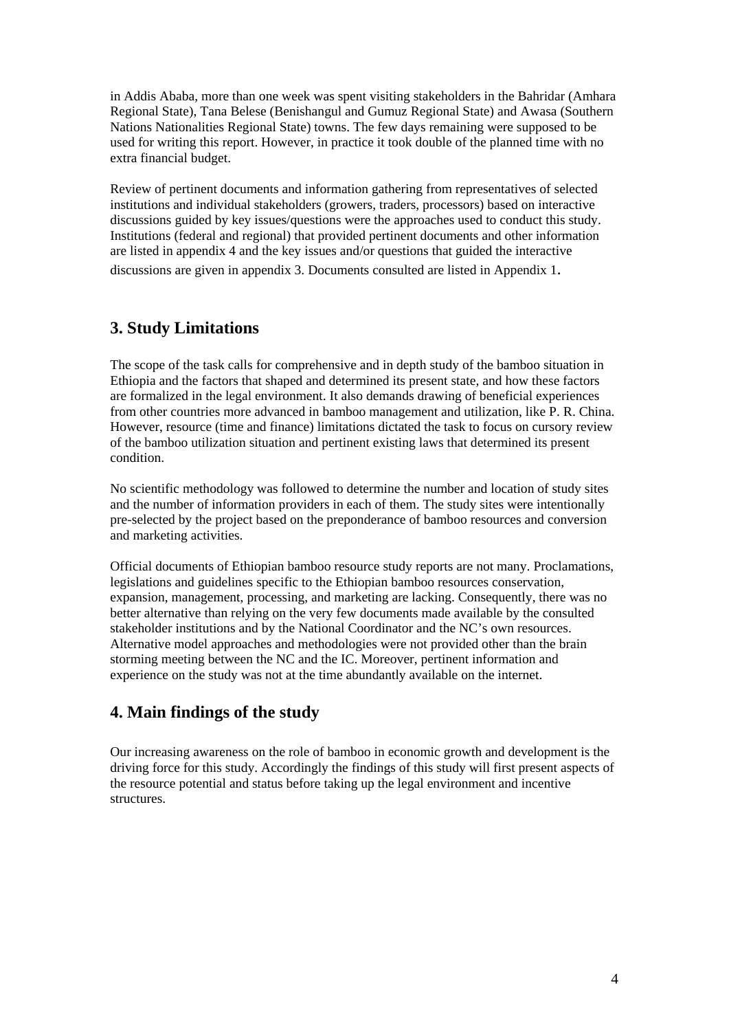in Addis Ababa, more than one week was spent visiting stakeholders in the Bahridar (Amhara Regional State), Tana Belese (Benishangul and Gumuz Regional State) and Awasa (Southern Nations Nationalities Regional State) towns. The few days remaining were supposed to be used for writing this report. However, in practice it took double of the planned time with no extra financial budget.

Review of pertinent documents and information gathering from representatives of selected institutions and individual stakeholders (growers, traders, processors) based on interactive discussions guided by key issues/questions were the approaches used to conduct this study. Institutions (federal and regional) that provided pertinent documents and other information are listed in appendix 4 and the key issues and/or questions that guided the interactive discussions are given in appendix 3. Documents consulted are listed in Appendix 1.

## **3. Study Limitations**

The scope of the task calls for comprehensive and in depth study of the bamboo situation in Ethiopia and the factors that shaped and determined its present state, and how these factors are formalized in the legal environment. It also demands drawing of beneficial experiences from other countries more advanced in bamboo management and utilization, like P. R. China. However, resource (time and finance) limitations dictated the task to focus on cursory review of the bamboo utilization situation and pertinent existing laws that determined its present condition.

No scientific methodology was followed to determine the number and location of study sites and the number of information providers in each of them. The study sites were intentionally pre-selected by the project based on the preponderance of bamboo resources and conversion and marketing activities.

Official documents of Ethiopian bamboo resource study reports are not many. Proclamations, legislations and guidelines specific to the Ethiopian bamboo resources conservation, expansion, management, processing, and marketing are lacking. Consequently, there was no better alternative than relying on the very few documents made available by the consulted stakeholder institutions and by the National Coordinator and the NC's own resources. Alternative model approaches and methodologies were not provided other than the brain storming meeting between the NC and the IC. Moreover, pertinent information and experience on the study was not at the time abundantly available on the internet.

## **4. Main findings of the study**

Our increasing awareness on the role of bamboo in economic growth and development is the driving force for this study. Accordingly the findings of this study will first present aspects of the resource potential and status before taking up the legal environment and incentive structures.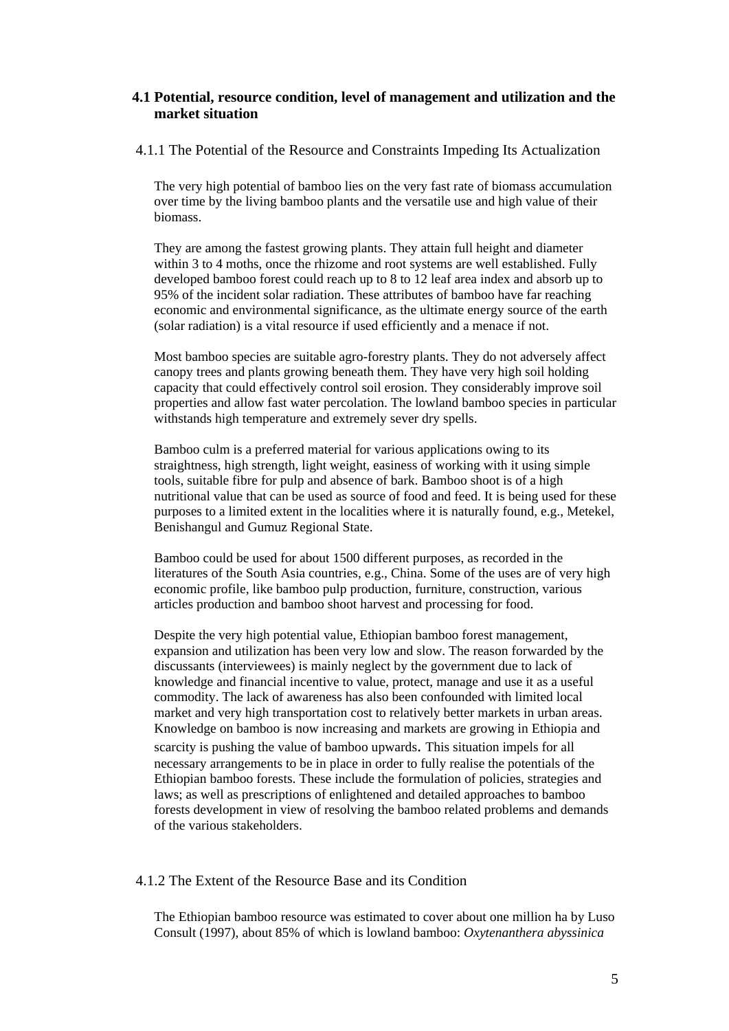## **4.1 Potential, resource condition, level of management and utilization and the market situation**

#### 4.1.1 The Potential of the Resource and Constraints Impeding Its Actualization

The very high potential of bamboo lies on the very fast rate of biomass accumulation over time by the living bamboo plants and the versatile use and high value of their biomass.

They are among the fastest growing plants. They attain full height and diameter within 3 to 4 moths, once the rhizome and root systems are well established. Fully developed bamboo forest could reach up to 8 to 12 leaf area index and absorb up to 95% of the incident solar radiation. These attributes of bamboo have far reaching economic and environmental significance, as the ultimate energy source of the earth (solar radiation) is a vital resource if used efficiently and a menace if not.

Most bamboo species are suitable agro-forestry plants. They do not adversely affect canopy trees and plants growing beneath them. They have very high soil holding capacity that could effectively control soil erosion. They considerably improve soil properties and allow fast water percolation. The lowland bamboo species in particular withstands high temperature and extremely sever dry spells.

Bamboo culm is a preferred material for various applications owing to its straightness, high strength, light weight, easiness of working with it using simple tools, suitable fibre for pulp and absence of bark. Bamboo shoot is of a high nutritional value that can be used as source of food and feed. It is being used for these purposes to a limited extent in the localities where it is naturally found, e.g., Metekel, Benishangul and Gumuz Regional State.

Bamboo could be used for about 1500 different purposes, as recorded in the literatures of the South Asia countries, e.g., China. Some of the uses are of very high economic profile, like bamboo pulp production, furniture, construction, various articles production and bamboo shoot harvest and processing for food.

Despite the very high potential value, Ethiopian bamboo forest management, expansion and utilization has been very low and slow. The reason forwarded by the discussants (interviewees) is mainly neglect by the government due to lack of knowledge and financial incentive to value, protect, manage and use it as a useful commodity. The lack of awareness has also been confounded with limited local market and very high transportation cost to relatively better markets in urban areas. Knowledge on bamboo is now increasing and markets are growing in Ethiopia and scarcity is pushing the value of bamboo upwards. This situation impels for all necessary arrangements to be in place in order to fully realise the potentials of the Ethiopian bamboo forests. These include the formulation of policies, strategies and laws; as well as prescriptions of enlightened and detailed approaches to bamboo forests development in view of resolving the bamboo related problems and demands of the various stakeholders.

## 4.1.2 The Extent of the Resource Base and its Condition

The Ethiopian bamboo resource was estimated to cover about one million ha by Luso Consult (1997), about 85% of which is lowland bamboo: *Oxytenanthera abyssinica*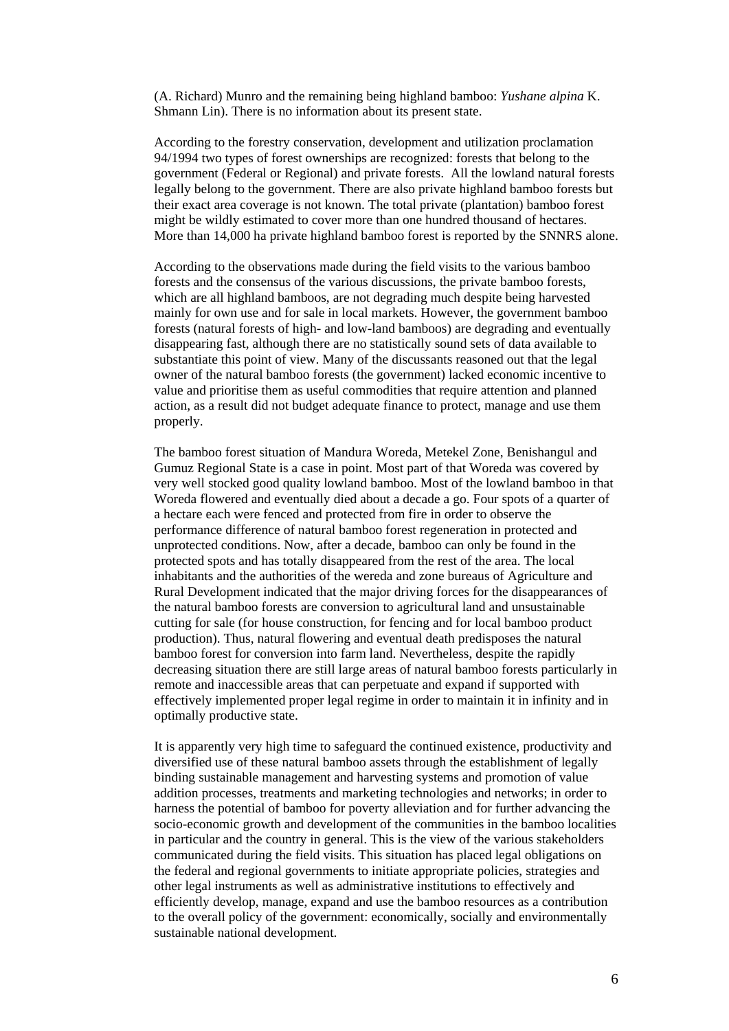(A. Richard) Munro and the remaining being highland bamboo: *Yushane alpina* K. Shmann Lin). There is no information about its present state.

According to the forestry conservation, development and utilization proclamation 94/1994 two types of forest ownerships are recognized: forests that belong to the government (Federal or Regional) and private forests. All the lowland natural forests legally belong to the government. There are also private highland bamboo forests but their exact area coverage is not known. The total private (plantation) bamboo forest might be wildly estimated to cover more than one hundred thousand of hectares. More than 14,000 ha private highland bamboo forest is reported by the SNNRS alone.

According to the observations made during the field visits to the various bamboo forests and the consensus of the various discussions, the private bamboo forests, which are all highland bamboos, are not degrading much despite being harvested mainly for own use and for sale in local markets. However, the government bamboo forests (natural forests of high- and low-land bamboos) are degrading and eventually disappearing fast, although there are no statistically sound sets of data available to substantiate this point of view. Many of the discussants reasoned out that the legal owner of the natural bamboo forests (the government) lacked economic incentive to value and prioritise them as useful commodities that require attention and planned action, as a result did not budget adequate finance to protect, manage and use them properly.

The bamboo forest situation of Mandura Woreda, Metekel Zone, Benishangul and Gumuz Regional State is a case in point. Most part of that Woreda was covered by very well stocked good quality lowland bamboo. Most of the lowland bamboo in that Woreda flowered and eventually died about a decade a go. Four spots of a quarter of a hectare each were fenced and protected from fire in order to observe the performance difference of natural bamboo forest regeneration in protected and unprotected conditions. Now, after a decade, bamboo can only be found in the protected spots and has totally disappeared from the rest of the area. The local inhabitants and the authorities of the wereda and zone bureaus of Agriculture and Rural Development indicated that the major driving forces for the disappearances of the natural bamboo forests are conversion to agricultural land and unsustainable cutting for sale (for house construction, for fencing and for local bamboo product production). Thus, natural flowering and eventual death predisposes the natural bamboo forest for conversion into farm land. Nevertheless, despite the rapidly decreasing situation there are still large areas of natural bamboo forests particularly in remote and inaccessible areas that can perpetuate and expand if supported with effectively implemented proper legal regime in order to maintain it in infinity and in optimally productive state.

It is apparently very high time to safeguard the continued existence, productivity and diversified use of these natural bamboo assets through the establishment of legally binding sustainable management and harvesting systems and promotion of value addition processes, treatments and marketing technologies and networks; in order to harness the potential of bamboo for poverty alleviation and for further advancing the socio-economic growth and development of the communities in the bamboo localities in particular and the country in general. This is the view of the various stakeholders communicated during the field visits. This situation has placed legal obligations on the federal and regional governments to initiate appropriate policies, strategies and other legal instruments as well as administrative institutions to effectively and efficiently develop, manage, expand and use the bamboo resources as a contribution to the overall policy of the government: economically, socially and environmentally sustainable national development.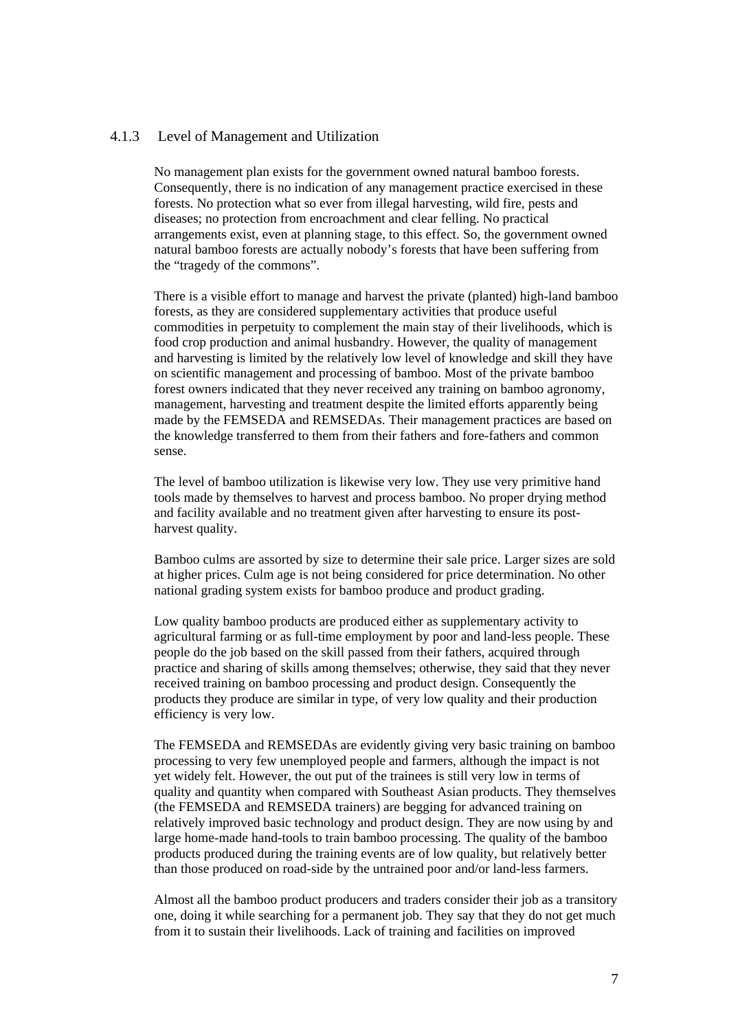#### 4.1.3 Level of Management and Utilization

No management plan exists for the government owned natural bamboo forests. Consequently, there is no indication of any management practice exercised in these forests. No protection what so ever from illegal harvesting, wild fire, pests and diseases; no protection from encroachment and clear felling. No practical arrangements exist, even at planning stage, to this effect. So, the government owned natural bamboo forests are actually nobody's forests that have been suffering from the "tragedy of the commons".

There is a visible effort to manage and harvest the private (planted) high-land bamboo forests, as they are considered supplementary activities that produce useful commodities in perpetuity to complement the main stay of their livelihoods, which is food crop production and animal husbandry. However, the quality of management and harvesting is limited by the relatively low level of knowledge and skill they have on scientific management and processing of bamboo. Most of the private bamboo forest owners indicated that they never received any training on bamboo agronomy, management, harvesting and treatment despite the limited efforts apparently being made by the FEMSEDA and REMSEDAs. Their management practices are based on the knowledge transferred to them from their fathers and fore-fathers and common sense.

The level of bamboo utilization is likewise very low. They use very primitive hand tools made by themselves to harvest and process bamboo. No proper drying method and facility available and no treatment given after harvesting to ensure its postharvest quality.

Bamboo culms are assorted by size to determine their sale price. Larger sizes are sold at higher prices. Culm age is not being considered for price determination. No other national grading system exists for bamboo produce and product grading.

Low quality bamboo products are produced either as supplementary activity to agricultural farming or as full-time employment by poor and land-less people. These people do the job based on the skill passed from their fathers, acquired through practice and sharing of skills among themselves; otherwise, they said that they never received training on bamboo processing and product design. Consequently the products they produce are similar in type, of very low quality and their production efficiency is very low.

The FEMSEDA and REMSEDAs are evidently giving very basic training on bamboo processing to very few unemployed people and farmers, although the impact is not yet widely felt. However, the out put of the trainees is still very low in terms of quality and quantity when compared with Southeast Asian products. They themselves (the FEMSEDA and REMSEDA trainers) are begging for advanced training on relatively improved basic technology and product design. They are now using by and large home-made hand-tools to train bamboo processing. The quality of the bamboo products produced during the training events are of low quality, but relatively better than those produced on road-side by the untrained poor and/or land-less farmers.

Almost all the bamboo product producers and traders consider their job as a transitory one, doing it while searching for a permanent job. They say that they do not get much from it to sustain their livelihoods. Lack of training and facilities on improved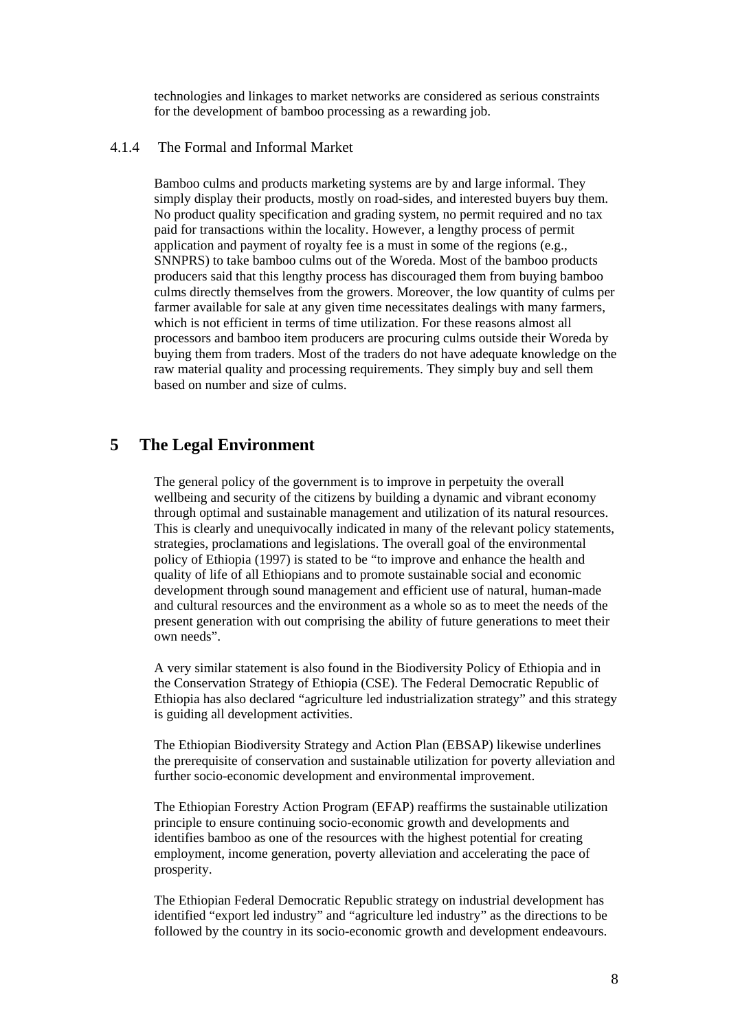technologies and linkages to market networks are considered as serious constraints for the development of bamboo processing as a rewarding job.

#### 4.1.4 The Formal and Informal Market

Bamboo culms and products marketing systems are by and large informal. They simply display their products, mostly on road-sides, and interested buyers buy them. No product quality specification and grading system, no permit required and no tax paid for transactions within the locality. However, a lengthy process of permit application and payment of royalty fee is a must in some of the regions (e.g., SNNPRS) to take bamboo culms out of the Woreda. Most of the bamboo products producers said that this lengthy process has discouraged them from buying bamboo culms directly themselves from the growers. Moreover, the low quantity of culms per farmer available for sale at any given time necessitates dealings with many farmers, which is not efficient in terms of time utilization. For these reasons almost all processors and bamboo item producers are procuring culms outside their Woreda by buying them from traders. Most of the traders do not have adequate knowledge on the raw material quality and processing requirements. They simply buy and sell them based on number and size of culms.

## **5 The Legal Environment**

The general policy of the government is to improve in perpetuity the overall wellbeing and security of the citizens by building a dynamic and vibrant economy through optimal and sustainable management and utilization of its natural resources. This is clearly and unequivocally indicated in many of the relevant policy statements, strategies, proclamations and legislations. The overall goal of the environmental policy of Ethiopia (1997) is stated to be "to improve and enhance the health and quality of life of all Ethiopians and to promote sustainable social and economic development through sound management and efficient use of natural, human-made and cultural resources and the environment as a whole so as to meet the needs of the present generation with out comprising the ability of future generations to meet their own needs".

A very similar statement is also found in the Biodiversity Policy of Ethiopia and in the Conservation Strategy of Ethiopia (CSE). The Federal Democratic Republic of Ethiopia has also declared "agriculture led industrialization strategy" and this strategy is guiding all development activities.

The Ethiopian Biodiversity Strategy and Action Plan (EBSAP) likewise underlines the prerequisite of conservation and sustainable utilization for poverty alleviation and further socio-economic development and environmental improvement.

The Ethiopian Forestry Action Program (EFAP) reaffirms the sustainable utilization principle to ensure continuing socio-economic growth and developments and identifies bamboo as one of the resources with the highest potential for creating employment, income generation, poverty alleviation and accelerating the pace of prosperity.

The Ethiopian Federal Democratic Republic strategy on industrial development has identified "export led industry" and "agriculture led industry" as the directions to be followed by the country in its socio-economic growth and development endeavours.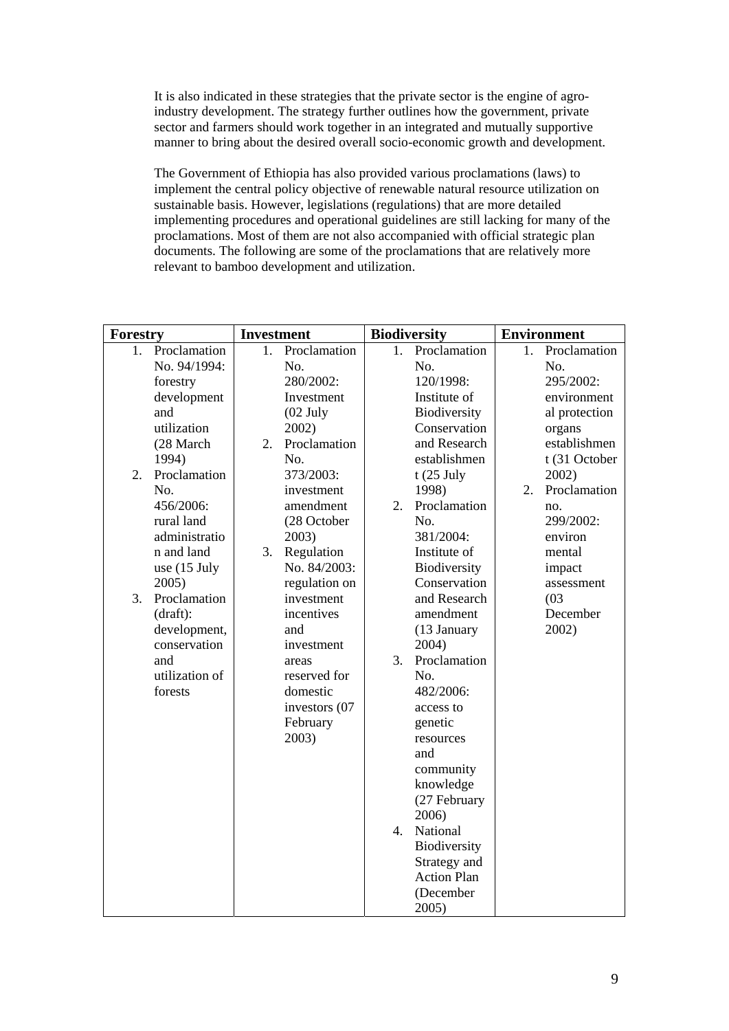It is also indicated in these strategies that the private sector is the engine of agroindustry development. The strategy further outlines how the government, private sector and farmers should work together in an integrated and mutually supportive manner to bring about the desired overall socio-economic growth and development.

The Government of Ethiopia has also provided various proclamations (laws) to implement the central policy objective of renewable natural resource utilization on sustainable basis. However, legislations (regulations) that are more detailed implementing procedures and operational guidelines are still lacking for many of the proclamations. Most of them are not also accompanied with official strategic plan documents. The following are some of the proclamations that are relatively more relevant to bamboo development and utilization.

| Forestry                                                                                                                                                                                                                                                                                                                          | <b>Investment</b>                                                                                                                                                                                                                                                                                                                                         | <b>Biodiversity</b>                                                                                                                                                                                                                                                                                                                                                                                                                                                                                                                  | <b>Environment</b>                                                                                                                                                                                                                             |  |
|-----------------------------------------------------------------------------------------------------------------------------------------------------------------------------------------------------------------------------------------------------------------------------------------------------------------------------------|-----------------------------------------------------------------------------------------------------------------------------------------------------------------------------------------------------------------------------------------------------------------------------------------------------------------------------------------------------------|--------------------------------------------------------------------------------------------------------------------------------------------------------------------------------------------------------------------------------------------------------------------------------------------------------------------------------------------------------------------------------------------------------------------------------------------------------------------------------------------------------------------------------------|------------------------------------------------------------------------------------------------------------------------------------------------------------------------------------------------------------------------------------------------|--|
| Proclamation<br>1.<br>No. 94/1994:<br>forestry<br>development<br>and<br>utilization<br>(28 March<br>1994)<br>Proclamation<br>2.<br>No.<br>456/2006:<br>rural land<br>administratio<br>n and land<br>use $(15$ July<br>2005)<br>Proclamation<br>3.<br>(draft):<br>development,<br>conservation<br>and<br>utilization of<br>forests | 1.<br>Proclamation<br>No.<br>280/2002:<br>Investment<br>$(02$ July<br>2002)<br>Proclamation<br>2.<br>No.<br>373/2003:<br>investment<br>amendment<br>(28 October<br>2003)<br>3.<br>Regulation<br>No. 84/2003:<br>regulation on<br>investment<br>incentives<br>and<br>investment<br>areas<br>reserved for<br>domestic<br>investors (07<br>February<br>2003) | Proclamation<br>1.<br>No.<br>120/1998:<br>Institute of<br>Biodiversity<br>Conservation<br>and Research<br>establishmen<br>$t(25$ July<br>1998)<br>Proclamation<br>2.<br>No.<br>381/2004:<br>Institute of<br>Biodiversity<br>Conservation<br>and Research<br>amendment<br>(13 January<br>2004)<br>Proclamation<br>3.<br>No.<br>482/2006:<br>access to<br>genetic<br>resources<br>and<br>community<br>knowledge<br>(27 February<br>2006)<br>National<br>4.<br>Biodiversity<br>Strategy and<br><b>Action Plan</b><br>(December<br>2005) | Proclamation<br>1.<br>No.<br>295/2002:<br>environment<br>al protection<br>organs<br>establishmen<br>t (31 October<br>2002)<br>Proclamation<br>2.<br>no.<br>299/2002:<br>environ<br>mental<br>impact<br>assessment<br>(03)<br>December<br>2002) |  |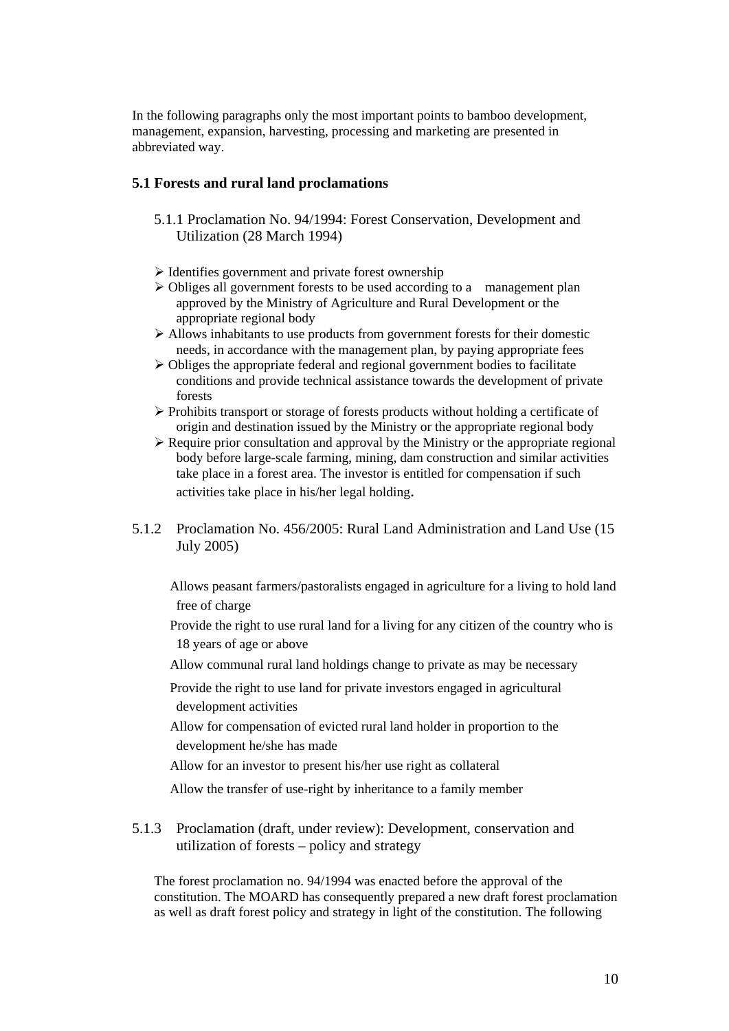In the following paragraphs only the most important points to bamboo development, management, expansion, harvesting, processing and marketing are presented in abbreviated way.

## **5.1 Forests and rural land proclamations**

- 5.1.1 Proclamation No. 94/1994: Forest Conservation, Development and Utilization (28 March 1994)
- $\triangleright$  Identifies government and private forest ownership
- $\triangleright$  Obliges all government forests to be used according to a management plan approved by the Ministry of Agriculture and Rural Development or the appropriate regional body
- $\triangleright$  Allows inhabitants to use products from government forests for their domestic needs, in accordance with the management plan, by paying appropriate fees
- $\triangleright$  Obliges the appropriate federal and regional government bodies to facilitate conditions and provide technical assistance towards the development of private forests
- $\triangleright$  Prohibits transport or storage of forests products without holding a certificate of origin and destination issued by the Ministry or the appropriate regional body
- $\triangleright$  Require prior consultation and approval by the Ministry or the appropriate regional body before large-scale farming, mining, dam construction and similar activities take place in a forest area. The investor is entitled for compensation if such activities take place in his/her legal holding.
- 5.1.2 Proclamation No. 456/2005: Rural Land Administration and Land Use (15 July 2005)

 Allows peasant farmers/pastoralists engaged in agriculture for a living to hold land free of charge

 Provide the right to use rural land for a living for any citizen of the country who is 18 years of age or above

Allow communal rural land holdings change to private as may be necessary

 Provide the right to use land for private investors engaged in agricultural development activities

 Allow for compensation of evicted rural land holder in proportion to the development he/she has made

Allow for an investor to present his/her use right as collateral

Allow the transfer of use-right by inheritance to a family member

5.1.3 Proclamation (draft, under review): Development, conservation and utilization of forests – policy and strategy

The forest proclamation no. 94/1994 was enacted before the approval of the constitution. The MOARD has consequently prepared a new draft forest proclamation as well as draft forest policy and strategy in light of the constitution. The following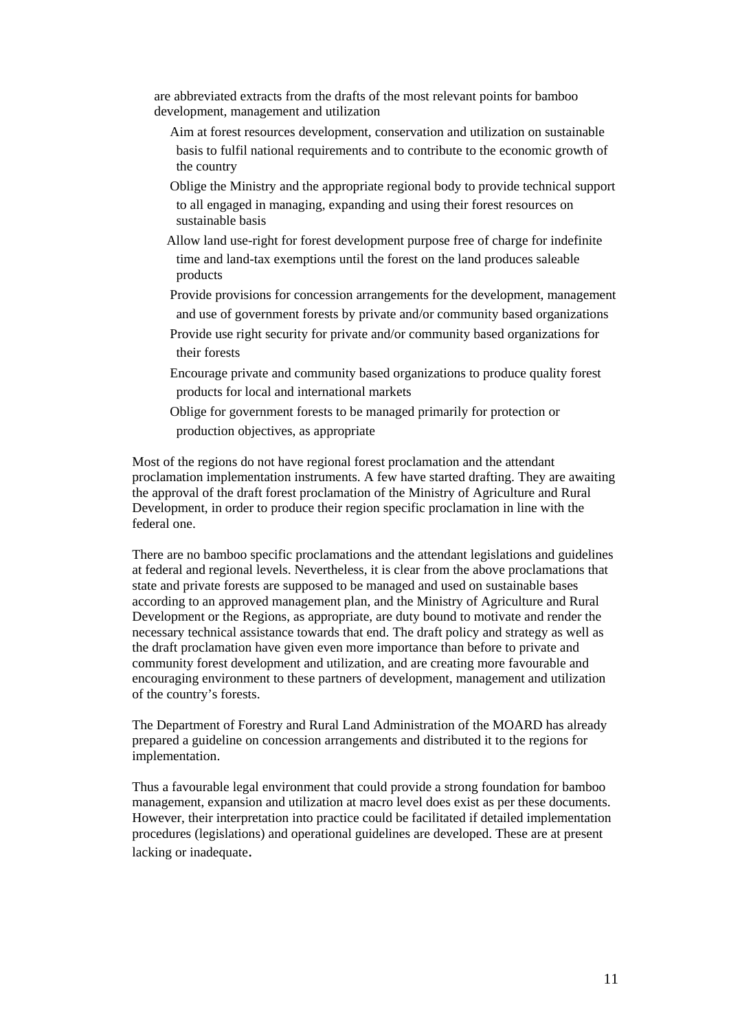are abbreviated extracts from the drafts of the most relevant points for bamboo development, management and utilization

- Aim at forest resources development, conservation and utilization on sustainable basis to fulfil national requirements and to contribute to the economic growth of the country
- Oblige the Ministry and the appropriate regional body to provide technical support to all engaged in managing, expanding and using their forest resources on sustainable basis
- Allow land use-right for forest development purpose free of charge for indefinite time and land-tax exemptions until the forest on the land produces saleable products
- Provide provisions for concession arrangements for the development, management and use of government forests by private and/or community based organizations
- Provide use right security for private and/or community based organizations for their forests
- Encourage private and community based organizations to produce quality forest products for local and international markets
- Oblige for government forests to be managed primarily for protection or production objectives, as appropriate

Most of the regions do not have regional forest proclamation and the attendant proclamation implementation instruments. A few have started drafting. They are awaiting the approval of the draft forest proclamation of the Ministry of Agriculture and Rural Development, in order to produce their region specific proclamation in line with the federal one.

There are no bamboo specific proclamations and the attendant legislations and guidelines at federal and regional levels. Nevertheless, it is clear from the above proclamations that state and private forests are supposed to be managed and used on sustainable bases according to an approved management plan, and the Ministry of Agriculture and Rural Development or the Regions, as appropriate, are duty bound to motivate and render the necessary technical assistance towards that end. The draft policy and strategy as well as the draft proclamation have given even more importance than before to private and community forest development and utilization, and are creating more favourable and encouraging environment to these partners of development, management and utilization of the country's forests.

The Department of Forestry and Rural Land Administration of the MOARD has already prepared a guideline on concession arrangements and distributed it to the regions for implementation.

Thus a favourable legal environment that could provide a strong foundation for bamboo management, expansion and utilization at macro level does exist as per these documents. However, their interpretation into practice could be facilitated if detailed implementation procedures (legislations) and operational guidelines are developed. These are at present lacking or inadequate.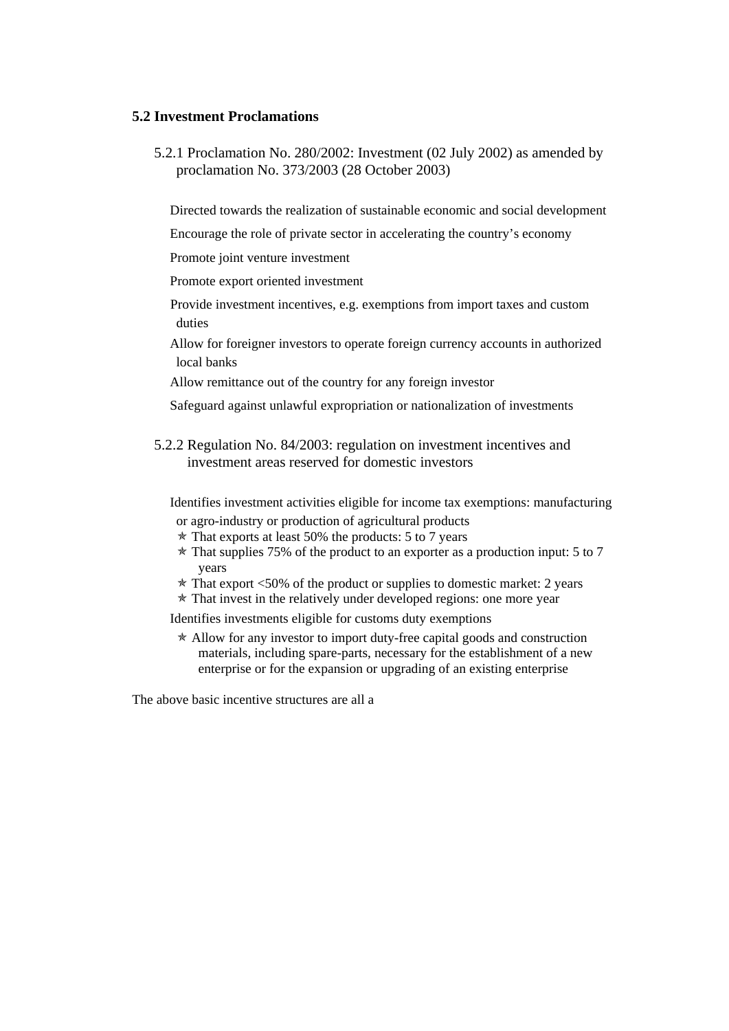## **5.2 Investment Proclamations**

5.2.1 Proclamation No. 280/2002: Investment (02 July 2002) as amended by proclamation No. 373/2003 (28 October 2003)

Directed towards the realization of sustainable economic and social development

Encourage the role of private sector in accelerating the country's economy

Promote joint venture investment

Promote export oriented investment

➣ Provide investment incentives, e.g. exemptions from import taxes and custom duties

 Allow for foreigner investors to operate foreign currency accounts in authorized local banks

Allow remittance out of the country for any foreign investor

Safeguard against unlawful expropriation or nationalization of investments

5.2.2 Regulation No. 84/2003: regulation on investment incentives and investment areas reserved for domestic investors

 Identifies investment activities eligible for income tax exemptions: manufacturing or agro-industry or production of agricultural products

- $*$  That exports at least 50% the products: 5 to 7 years
- $*$  That supplies 75% of the product to an exporter as a production input: 5 to 7 years
- $\star$  That export <50% of the product or supplies to domestic market: 2 years
- $*$  That invest in the relatively under developed regions: one more year

Identifies investments eligible for customs duty exemptions

 $*$  Allow for any investor to import duty-free capital goods and construction materials, including spare-parts, necessary for the establishment of a new enterprise or for the expansion or upgrading of an existing enterprise

The above basic incentive structures are all a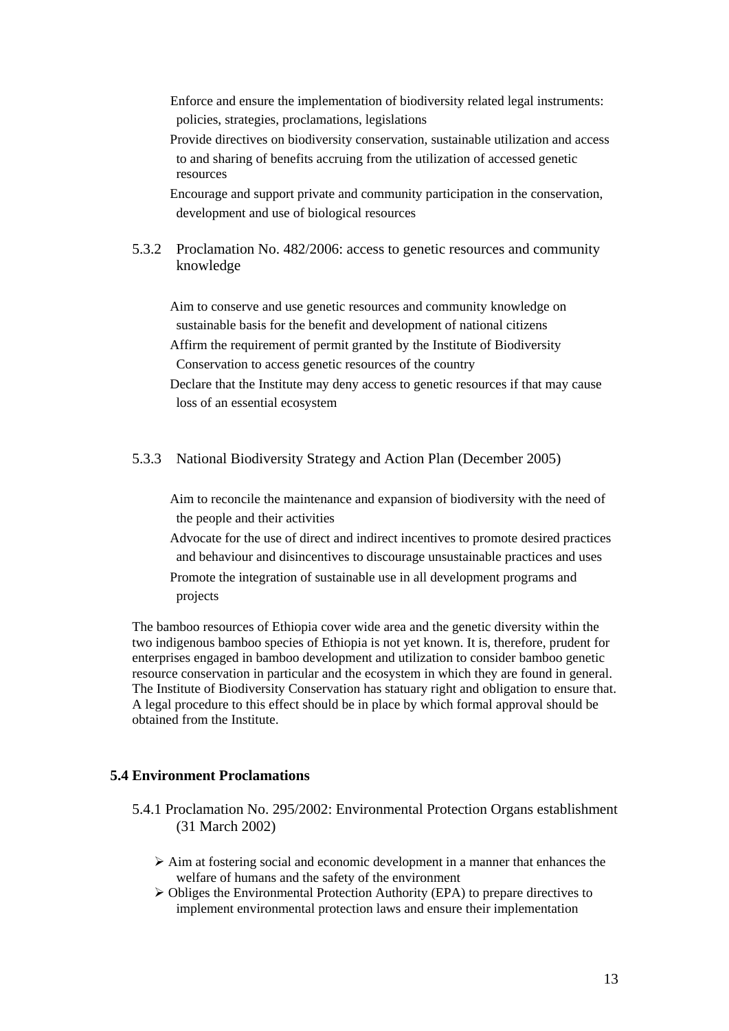➣ Enforce and ensure the implementation of biodiversity related legal instruments: policies, strategies, proclamations, legislations

 Provide directives on biodiversity conservation, sustainable utilization and access to and sharing of benefits accruing from the utilization of accessed genetic resources

 Encourage and support private and community participation in the conservation, development and use of biological resources

5.3.2 Proclamation No. 482/2006: access to genetic resources and community knowledge

 Aim to conserve and use genetic resources and community knowledge on sustainable basis for the benefit and development of national citizens Affirm the requirement of permit granted by the Institute of Biodiversity

Conservation to access genetic resources of the country

 Declare that the Institute may deny access to genetic resources if that may cause loss of an essential ecosystem

## 5.3.3 National Biodiversity Strategy and Action Plan (December 2005)

 Aim to reconcile the maintenance and expansion of biodiversity with the need of the people and their activities

 Advocate for the use of direct and indirect incentives to promote desired practices and behaviour and disincentives to discourage unsustainable practices and uses Promote the integration of sustainable use in all development programs and projects

The bamboo resources of Ethiopia cover wide area and the genetic diversity within the two indigenous bamboo species of Ethiopia is not yet known. It is, therefore, prudent for enterprises engaged in bamboo development and utilization to consider bamboo genetic resource conservation in particular and the ecosystem in which they are found in general. The Institute of Biodiversity Conservation has statuary right and obligation to ensure that. A legal procedure to this effect should be in place by which formal approval should be obtained from the Institute.

## **5.4 Environment Proclamations**

- 5.4.1 Proclamation No. 295/2002: Environmental Protection Organs establishment (31 March 2002)
	- $\triangleright$  Aim at fostering social and economic development in a manner that enhances the welfare of humans and the safety of the environment
	- $\triangleright$  Obliges the Environmental Protection Authority (EPA) to prepare directives to implement environmental protection laws and ensure their implementation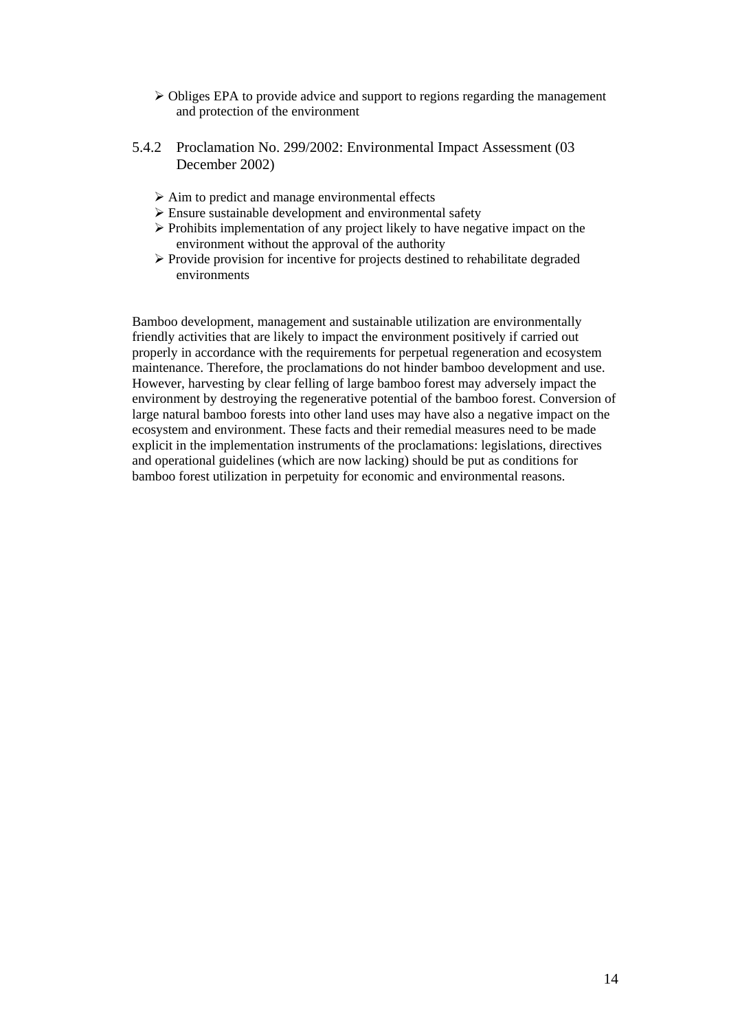- $\triangleright$  Obliges EPA to provide advice and support to regions regarding the management and protection of the environment
- 5.4.2 Proclamation No. 299/2002: Environmental Impact Assessment (03 December 2002)
	- $\triangleright$  Aim to predict and manage environmental effects
	- $\triangleright$  Ensure sustainable development and environmental safety
	- $\triangleright$  Prohibits implementation of any project likely to have negative impact on the environment without the approval of the authority
	- ¾ Provide provision for incentive for projects destined to rehabilitate degraded environments

Bamboo development, management and sustainable utilization are environmentally friendly activities that are likely to impact the environment positively if carried out properly in accordance with the requirements for perpetual regeneration and ecosystem maintenance. Therefore, the proclamations do not hinder bamboo development and use. However, harvesting by clear felling of large bamboo forest may adversely impact the environment by destroying the regenerative potential of the bamboo forest. Conversion of large natural bamboo forests into other land uses may have also a negative impact on the ecosystem and environment. These facts and their remedial measures need to be made explicit in the implementation instruments of the proclamations: legislations, directives and operational guidelines (which are now lacking) should be put as conditions for bamboo forest utilization in perpetuity for economic and environmental reasons.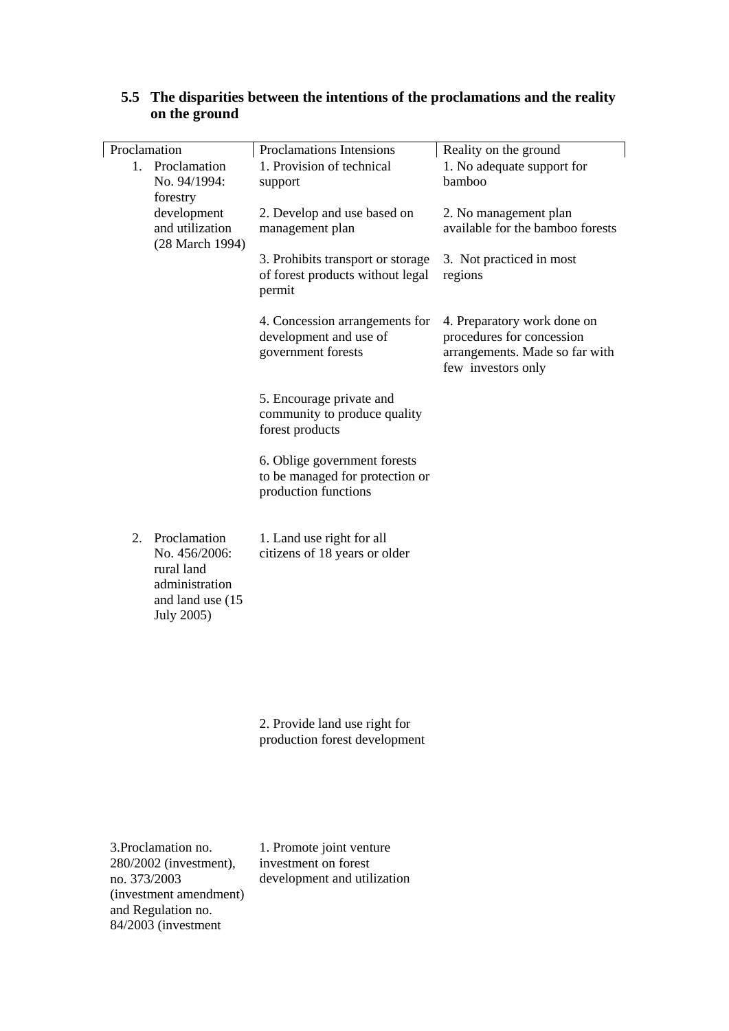| Proclamation<br>1.                                                                                  | Proclamation<br>No. 94/1994:<br>forestry          | Proclamations Intensions<br>1. Provision of technical<br>support                        | Reality on the ground<br>1. No adequate support for<br>bamboo                                                    |
|-----------------------------------------------------------------------------------------------------|---------------------------------------------------|-----------------------------------------------------------------------------------------|------------------------------------------------------------------------------------------------------------------|
|                                                                                                     | development<br>and utilization<br>(28 March 1994) | 2. Develop and use based on<br>management plan                                          | 2. No management plan<br>available for the bamboo forests                                                        |
|                                                                                                     |                                                   | 3. Prohibits transport or storage<br>of forest products without legal<br>permit         | 3. Not practiced in most<br>regions                                                                              |
|                                                                                                     |                                                   | 4. Concession arrangements for<br>development and use of<br>government forests          | 4. Preparatory work done on<br>procedures for concession<br>arrangements. Made so far with<br>few investors only |
|                                                                                                     |                                                   | 5. Encourage private and<br>community to produce quality<br>forest products             |                                                                                                                  |
|                                                                                                     |                                                   | 6. Oblige government forests<br>to be managed for protection or<br>production functions |                                                                                                                  |
| 2. Proclamation<br>No. 456/2006:<br>rural land<br>administration<br>and land use (15)<br>July 2005) |                                                   | 1. Land use right for all<br>citizens of 18 years or older                              |                                                                                                                  |
|                                                                                                     |                                                   | 2. Provide land use right for<br>production forest development                          |                                                                                                                  |

## **5.5 The disparities between the intentions of the proclamations and the reality on the ground**

3.Proclamation no. 280/2002 (investment), no. 373/2003 (investment amendment) and Regulation no. 84/2003 (investment

available for the bamboo forests

1. Promote joint venture investment on forest development and utilization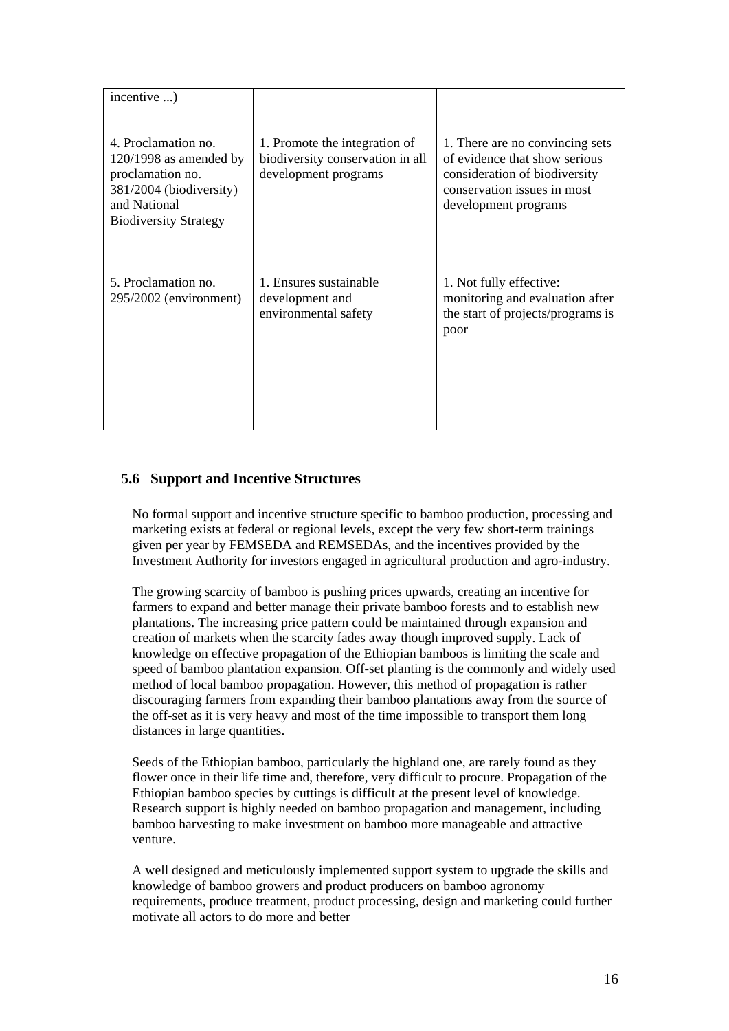| incentive )                                                                                                                                    |                                                                                           |                                                                                                                                                          |
|------------------------------------------------------------------------------------------------------------------------------------------------|-------------------------------------------------------------------------------------------|----------------------------------------------------------------------------------------------------------------------------------------------------------|
| 4. Proclamation no.<br>$120/1998$ as amended by<br>proclamation no.<br>381/2004 (biodiversity)<br>and National<br><b>Biodiversity Strategy</b> | 1. Promote the integration of<br>biodiversity conservation in all<br>development programs | 1. There are no convincing sets<br>of evidence that show serious<br>consideration of biodiversity<br>conservation issues in most<br>development programs |
| 5. Proclamation no.<br>295/2002 (environment)                                                                                                  | 1. Ensures sustainable<br>development and<br>environmental safety                         | 1. Not fully effective:<br>monitoring and evaluation after<br>the start of projects/programs is<br>poor                                                  |

## **5.6 Support and Incentive Structures**

No formal support and incentive structure specific to bamboo production, processing and marketing exists at federal or regional levels, except the very few short-term trainings given per year by FEMSEDA and REMSEDAs, and the incentives provided by the Investment Authority for investors engaged in agricultural production and agro-industry.

The growing scarcity of bamboo is pushing prices upwards, creating an incentive for farmers to expand and better manage their private bamboo forests and to establish new plantations. The increasing price pattern could be maintained through expansion and creation of markets when the scarcity fades away though improved supply. Lack of knowledge on effective propagation of the Ethiopian bamboos is limiting the scale and speed of bamboo plantation expansion. Off-set planting is the commonly and widely used method of local bamboo propagation. However, this method of propagation is rather discouraging farmers from expanding their bamboo plantations away from the source of the off-set as it is very heavy and most of the time impossible to transport them long distances in large quantities.

Seeds of the Ethiopian bamboo, particularly the highland one, are rarely found as they flower once in their life time and, therefore, very difficult to procure. Propagation of the Ethiopian bamboo species by cuttings is difficult at the present level of knowledge. Research support is highly needed on bamboo propagation and management, including bamboo harvesting to make investment on bamboo more manageable and attractive venture.

A well designed and meticulously implemented support system to upgrade the skills and knowledge of bamboo growers and product producers on bamboo agronomy requirements, produce treatment, product processing, design and marketing could further motivate all actors to do more and better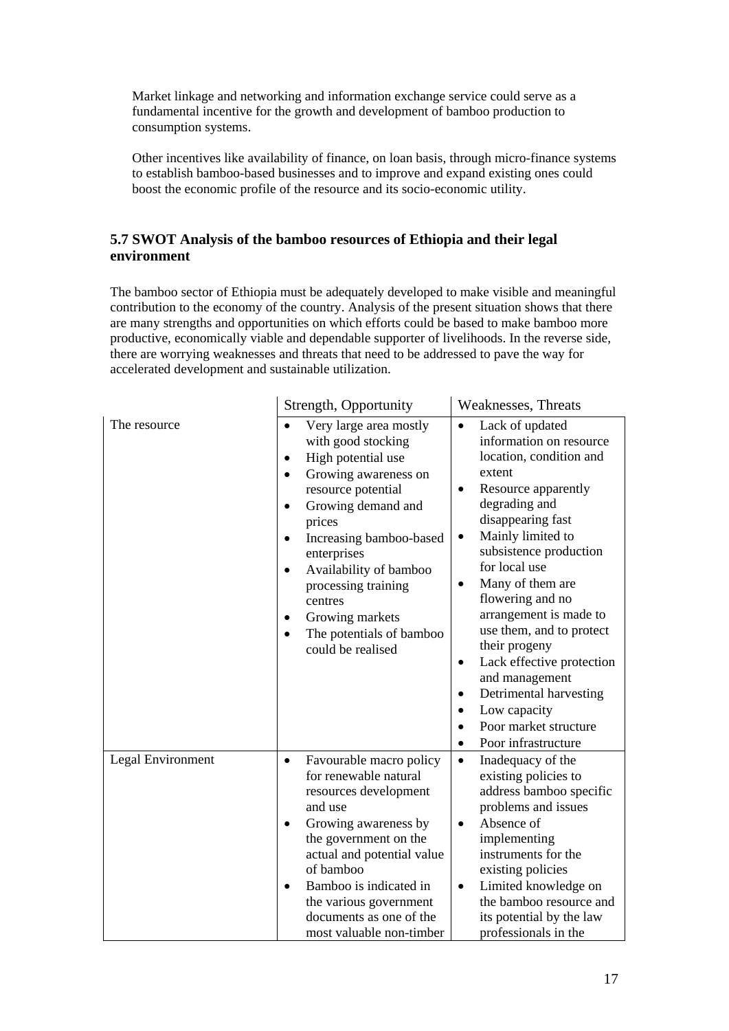Market linkage and networking and information exchange service could serve as a fundamental incentive for the growth and development of bamboo production to consumption systems.

Other incentives like availability of finance, on loan basis, through micro-finance systems to establish bamboo-based businesses and to improve and expand existing ones could boost the economic profile of the resource and its socio-economic utility.

## **5.7 SWOT Analysis of the bamboo resources of Ethiopia and their legal environment**

The bamboo sector of Ethiopia must be adequately developed to make visible and meaningful contribution to the economy of the country. Analysis of the present situation shows that there are many strengths and opportunities on which efforts could be based to make bamboo more productive, economically viable and dependable supporter of livelihoods. In the reverse side, there are worrying weaknesses and threats that need to be addressed to pave the way for accelerated development and sustainable utilization.

|                   | Strength, Opportunity                                                                                                                                                                                                                                                                                                                                                                                                 | <b>Weaknesses</b> , Threats                                                                                                                                                                                                                                                                                                                                                                                                                                                                                                                             |
|-------------------|-----------------------------------------------------------------------------------------------------------------------------------------------------------------------------------------------------------------------------------------------------------------------------------------------------------------------------------------------------------------------------------------------------------------------|---------------------------------------------------------------------------------------------------------------------------------------------------------------------------------------------------------------------------------------------------------------------------------------------------------------------------------------------------------------------------------------------------------------------------------------------------------------------------------------------------------------------------------------------------------|
| The resource      | Very large area mostly<br>with good stocking<br>High potential use<br>$\bullet$<br>Growing awareness on<br>$\bullet$<br>resource potential<br>Growing demand and<br>$\bullet$<br>prices<br>Increasing bamboo-based<br>$\bullet$<br>enterprises<br>Availability of bamboo<br>$\bullet$<br>processing training<br>centres<br>Growing markets<br>$\bullet$<br>The potentials of bamboo<br>$\bullet$<br>could be realised | Lack of updated<br>information on resource<br>location, condition and<br>extent<br>Resource apparently<br>٠<br>degrading and<br>disappearing fast<br>Mainly limited to<br>$\bullet$<br>subsistence production<br>for local use<br>Many of them are<br>$\bullet$<br>flowering and no<br>arrangement is made to<br>use them, and to protect<br>their progeny<br>Lack effective protection<br>$\bullet$<br>and management<br>Detrimental harvesting<br>$\bullet$<br>Low capacity<br>$\bullet$<br>Poor market structure<br>Poor infrastructure<br>$\bullet$ |
| Legal Environment | Favourable macro policy<br>$\bullet$<br>for renewable natural<br>resources development<br>and use<br>Growing awareness by<br>$\bullet$<br>the government on the<br>actual and potential value<br>of bamboo<br>Bamboo is indicated in<br>$\bullet$<br>the various government<br>documents as one of the<br>most valuable non-timber                                                                                    | Inadequacy of the<br>$\bullet$<br>existing policies to<br>address bamboo specific<br>problems and issues<br>Absence of<br>$\bullet$<br>implementing<br>instruments for the<br>existing policies<br>Limited knowledge on<br>$\bullet$<br>the bamboo resource and<br>its potential by the law<br>professionals in the                                                                                                                                                                                                                                     |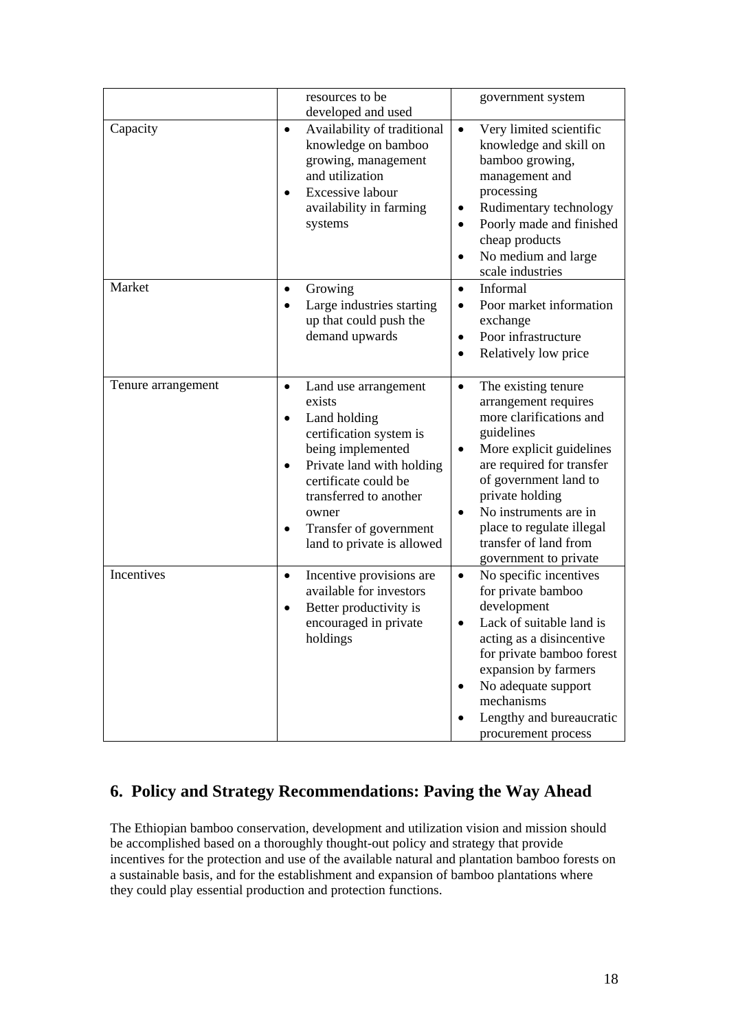|                    | resources to be<br>developed and used                                                                                                                                                                                                                                                              | government system                                                                                                                                                                                                                                                                                                           |
|--------------------|----------------------------------------------------------------------------------------------------------------------------------------------------------------------------------------------------------------------------------------------------------------------------------------------------|-----------------------------------------------------------------------------------------------------------------------------------------------------------------------------------------------------------------------------------------------------------------------------------------------------------------------------|
| Capacity           | Availability of traditional<br>$\bullet$<br>knowledge on bamboo<br>growing, management<br>and utilization<br><b>Excessive labour</b><br>$\bullet$<br>availability in farming<br>systems                                                                                                            | Very limited scientific<br>$\bullet$<br>knowledge and skill on<br>bamboo growing,<br>management and<br>processing<br>Rudimentary technology<br>Poorly made and finished<br>$\bullet$<br>cheap products<br>No medium and large<br>$\bullet$<br>scale industries                                                              |
| Market             | Growing<br>$\bullet$<br>Large industries starting<br>up that could push the<br>demand upwards                                                                                                                                                                                                      | Informal<br>$\bullet$<br>Poor market information<br>$\bullet$<br>exchange<br>Poor infrastructure<br>$\bullet$<br>Relatively low price<br>$\bullet$                                                                                                                                                                          |
| Tenure arrangement | Land use arrangement<br>$\bullet$<br>exists<br>Land holding<br>$\bullet$<br>certification system is<br>being implemented<br>Private land with holding<br>$\bullet$<br>certificate could be<br>transferred to another<br>owner<br>Transfer of government<br>$\bullet$<br>land to private is allowed | The existing tenure<br>$\bullet$<br>arrangement requires<br>more clarifications and<br>guidelines<br>More explicit guidelines<br>$\bullet$<br>are required for transfer<br>of government land to<br>private holding<br>No instruments are in<br>place to regulate illegal<br>transfer of land from<br>government to private |
| Incentives         | Incentive provisions are<br>$\bullet$<br>available for investors<br>Better productivity is<br>$\bullet$<br>encouraged in private<br>holdings                                                                                                                                                       | No specific incentives<br>$\bullet$<br>for private bamboo<br>development<br>Lack of suitable land is<br>$\bullet$<br>acting as a disincentive<br>for private bamboo forest<br>expansion by farmers<br>No adequate support<br>mechanisms<br>Lengthy and bureaucratic<br>procurement process                                  |

## **6. Policy and Strategy Recommendations: Paving the Way Ahead**

The Ethiopian bamboo conservation, development and utilization vision and mission should be accomplished based on a thoroughly thought-out policy and strategy that provide incentives for the protection and use of the available natural and plantation bamboo forests on a sustainable basis, and for the establishment and expansion of bamboo plantations where they could play essential production and protection functions.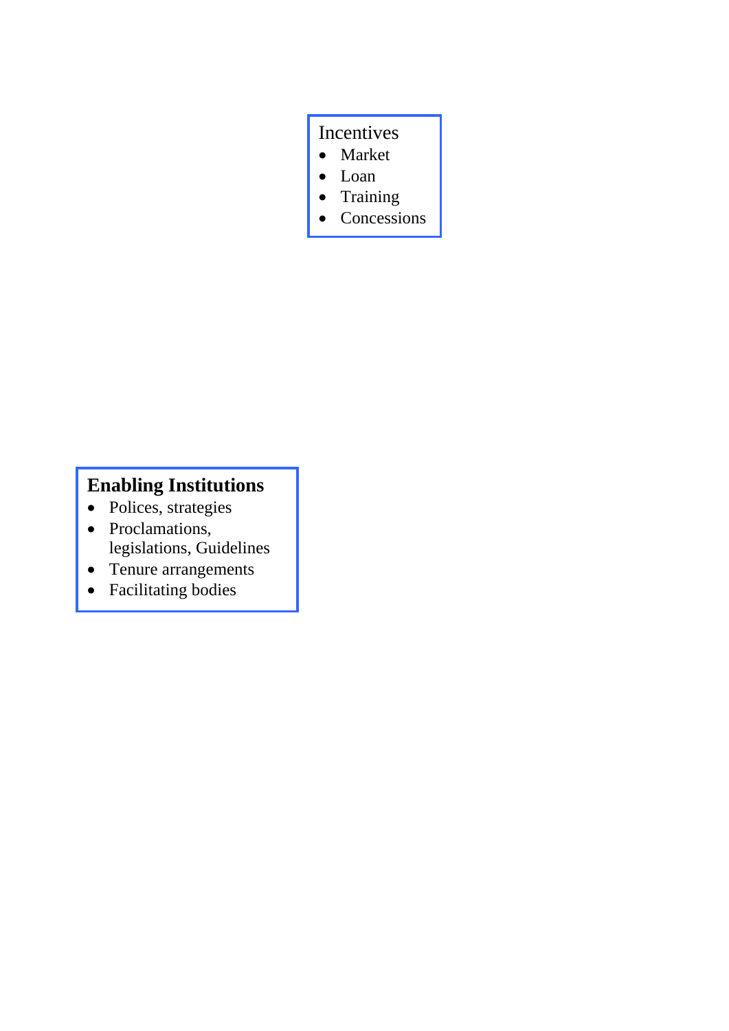# Incentives

- Market
- Loan
- Training
- Concessions

# **Enabling Institutions**

- Polices, strategies
- Proclamations, legislations, Guidelines
- Tenure arrangements
- Facilitating bodies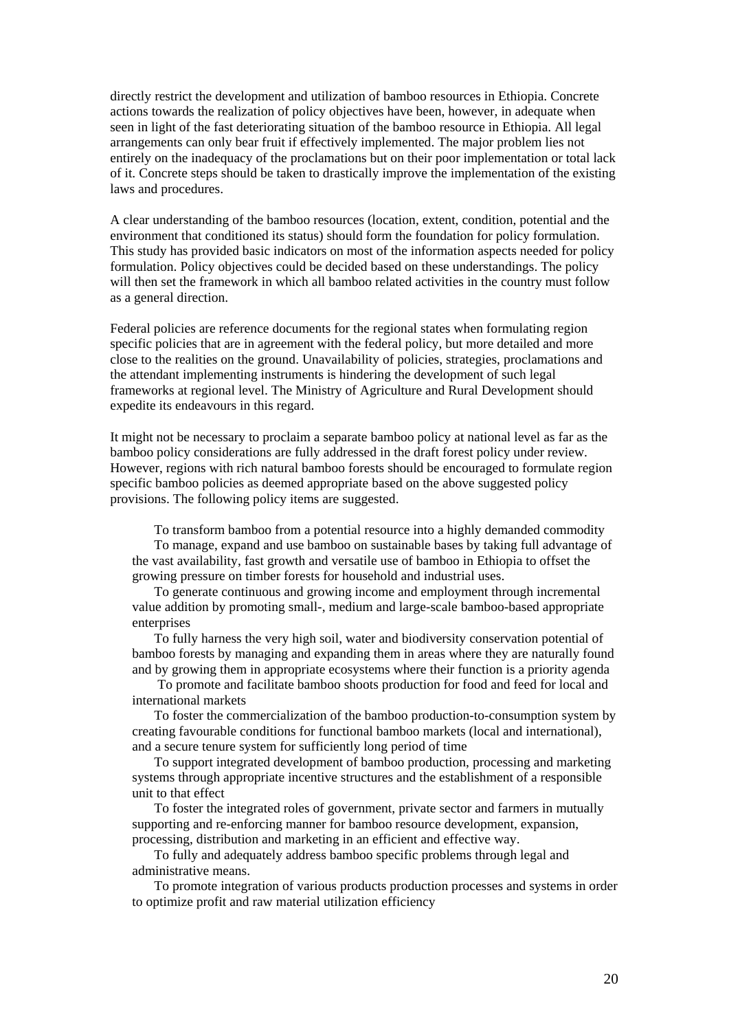directly restrict the development and utilization of bamboo resources in Ethiopia. Concrete actions towards the realization of policy objectives have been, however, in adequate when seen in light of the fast deteriorating situation of the bamboo resource in Ethiopia. All legal arrangements can only bear fruit if effectively implemented. The major problem lies not entirely on the inadequacy of the proclamations but on their poor implementation or total lack of it. Concrete steps should be taken to drastically improve the implementation of the existing laws and procedures.

A clear understanding of the bamboo resources (location, extent, condition, potential and the environment that conditioned its status) should form the foundation for policy formulation. This study has provided basic indicators on most of the information aspects needed for policy formulation. Policy objectives could be decided based on these understandings. The policy will then set the framework in which all bamboo related activities in the country must follow as a general direction.

Federal policies are reference documents for the regional states when formulating region specific policies that are in agreement with the federal policy, but more detailed and more close to the realities on the ground. Unavailability of policies, strategies, proclamations and the attendant implementing instruments is hindering the development of such legal frameworks at regional level. The Ministry of Agriculture and Rural Development should expedite its endeavours in this regard.

It might not be necessary to proclaim a separate bamboo policy at national level as far as the bamboo policy considerations are fully addressed in the draft forest policy under review. However, regions with rich natural bamboo forests should be encouraged to formulate region specific bamboo policies as deemed appropriate based on the above suggested policy provisions. The following policy items are suggested.

 $\hat{A}$  To transform bamboo from a potential resource into a highly demanded commodity

 $\hat{A}$  To manage, expand and use bamboo on sustainable bases by taking full advantage of the vast availability, fast growth and versatile use of bamboo in Ethiopia to offset the growing pressure on timber forests for household and industrial uses.

 $\hat{A}$  To generate continuous and growing income and employment through incremental value addition by promoting small-, medium and large-scale bamboo-based appropriate enterprises

 $\hat{A}$  To fully harness the very high soil, water and biodiversity conservation potential of bamboo forests by managing and expanding them in areas where they are naturally found and by growing them in appropriate ecosystems where their function is a priority agenda

 $\hat{A}$  To promote and facilitate bamboo shoots production for food and feed for local and international markets

 $\hat{A}$  To foster the commercialization of the bamboo production-to-consumption system by creating favourable conditions for functional bamboo markets (local and international), and a secure tenure system for sufficiently long period of time

 $\hat{A}$  To support integrated development of bamboo production, processing and marketing systems through appropriate incentive structures and the establishment of a responsible unit to that effect

 $\hat{A}$  To foster the integrated roles of government, private sector and farmers in mutually supporting and re-enforcing manner for bamboo resource development, expansion, processing, distribution and marketing in an efficient and effective way.

 $\hat{A}$  To fully and adequately address bamboo specific problems through legal and administrative means.

 $\hat{A}$  To promote integration of various products production processes and systems in order to optimize profit and raw material utilization efficiency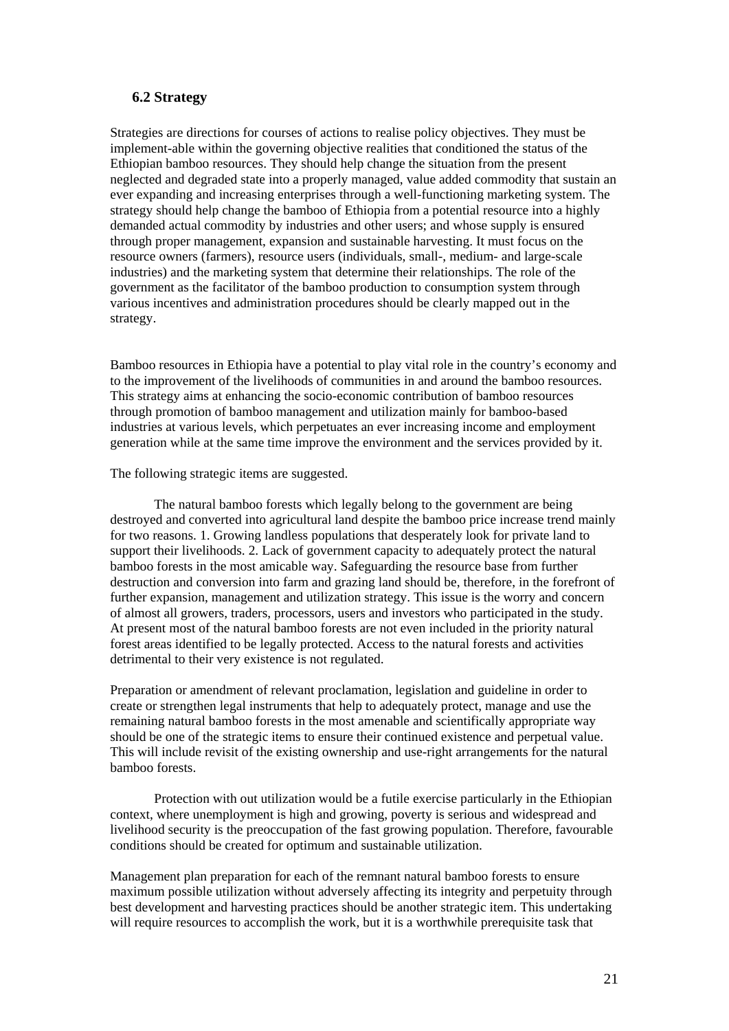## **6.2 Strategy**

Strategies are directions for courses of actions to realise policy objectives. They must be implement-able within the governing objective realities that conditioned the status of the Ethiopian bamboo resources. They should help change the situation from the present neglected and degraded state into a properly managed, value added commodity that sustain an ever expanding and increasing enterprises through a well-functioning marketing system. The strategy should help change the bamboo of Ethiopia from a potential resource into a highly demanded actual commodity by industries and other users; and whose supply is ensured through proper management, expansion and sustainable harvesting. It must focus on the resource owners (farmers), resource users (individuals, small-, medium- and large-scale industries) and the marketing system that determine their relationships. The role of the government as the facilitator of the bamboo production to consumption system through various incentives and administration procedures should be clearly mapped out in the strategy.

Bamboo resources in Ethiopia have a potential to play vital role in the country's economy and to the improvement of the livelihoods of communities in and around the bamboo resources. This strategy aims at enhancing the socio-economic contribution of bamboo resources through promotion of bamboo management and utilization mainly for bamboo-based industries at various levels, which perpetuates an ever increasing income and employment generation while at the same time improve the environment and the services provided by it.

The following strategic items are suggested.

 $\hat{A}$  The natural bamboo forests which legally belong to the government are being destroyed and converted into agricultural land despite the bamboo price increase trend mainly for two reasons. 1. Growing landless populations that desperately look for private land to support their livelihoods. 2. Lack of government capacity to adequately protect the natural bamboo forests in the most amicable way. Safeguarding the resource base from further destruction and conversion into farm and grazing land should be, therefore, in the forefront of further expansion, management and utilization strategy. This issue is the worry and concern of almost all growers, traders, processors, users and investors who participated in the study. At present most of the natural bamboo forests are not even included in the priority natural forest areas identified to be legally protected. Access to the natural forests and activities detrimental to their very existence is not regulated.

Preparation or amendment of relevant proclamation, legislation and guideline in order to create or strengthen legal instruments that help to adequately protect, manage and use the remaining natural bamboo forests in the most amenable and scientifically appropriate way should be one of the strategic items to ensure their continued existence and perpetual value. This will include revisit of the existing ownership and use-right arrangements for the natural bamboo forests.

 $\hat{A}$  Protection with out utilization would be a futile exercise particularly in the Ethiopian context, where unemployment is high and growing, poverty is serious and widespread and livelihood security is the preoccupation of the fast growing population. Therefore, favourable conditions should be created for optimum and sustainable utilization.

Management plan preparation for each of the remnant natural bamboo forests to ensure maximum possible utilization without adversely affecting its integrity and perpetuity through best development and harvesting practices should be another strategic item. This undertaking will require resources to accomplish the work, but it is a worthwhile prerequisite task that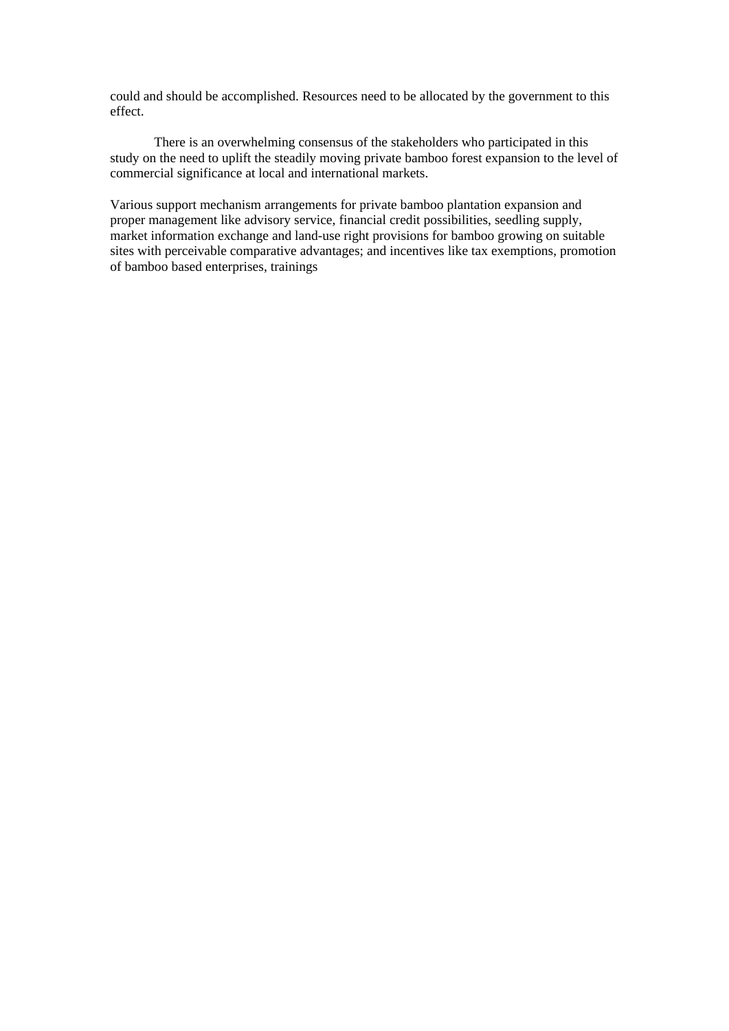could and should be accomplished. Resources need to be allocated by the government to this effect.

 $\hat{A}$  There is an overwhelming consensus of the stakeholders who participated in this study on the need to uplift the steadily moving private bamboo forest expansion to the level of commercial significance at local and international markets.

Various support mechanism arrangements for private bamboo plantation expansion and proper management like advisory service, financial credit possibilities, seedling supply, market information exchange and land-use right provisions for bamboo growing on suitable sites with perceivable comparative advantages; and incentives like tax exemptions, promotion of bamboo based enterprises, trainings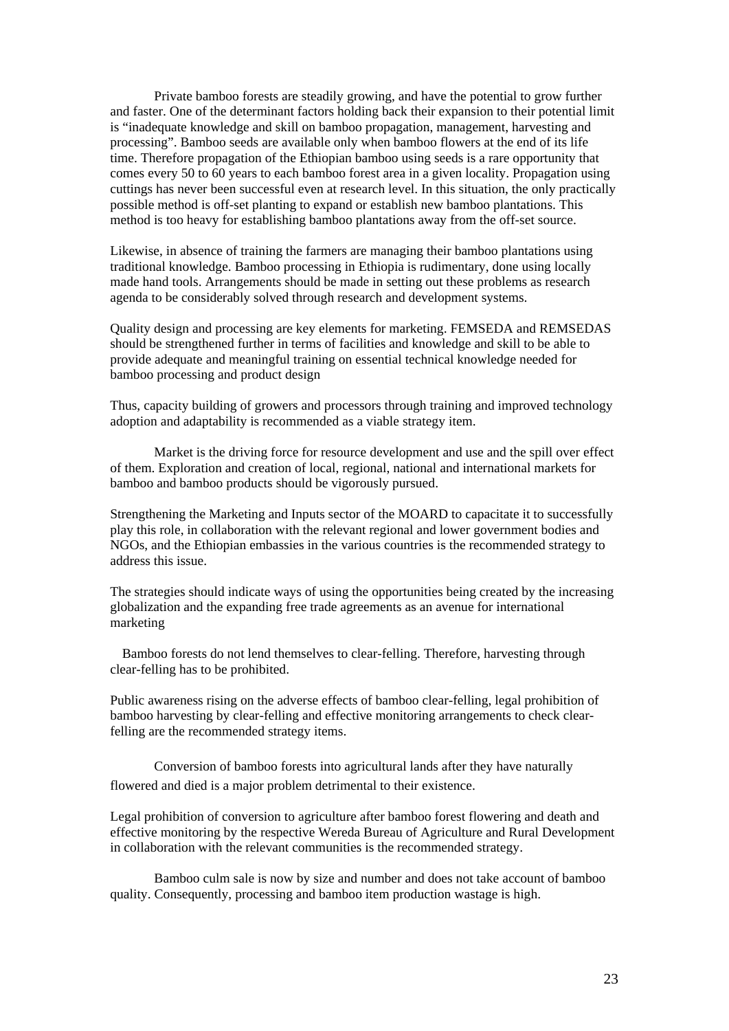$\hat{A}$  Private bamboo forests are steadily growing, and have the potential to grow further and faster. One of the determinant factors holding back their expansion to their potential limit is "inadequate knowledge and skill on bamboo propagation, management, harvesting and processing". Bamboo seeds are available only when bamboo flowers at the end of its life time. Therefore propagation of the Ethiopian bamboo using seeds is a rare opportunity that comes every 50 to 60 years to each bamboo forest area in a given locality. Propagation using cuttings has never been successful even at research level. In this situation, the only practically possible method is off-set planting to expand or establish new bamboo plantations. This method is too heavy for establishing bamboo plantations away from the off-set source.

Likewise, in absence of training the farmers are managing their bamboo plantations using traditional knowledge. Bamboo processing in Ethiopia is rudimentary, done using locally made hand tools. Arrangements should be made in setting out these problems as research agenda to be considerably solved through research and development systems.

Quality design and processing are key elements for marketing. FEMSEDA and REMSEDAS should be strengthened further in terms of facilities and knowledge and skill to be able to provide adequate and meaningful training on essential technical knowledge needed for bamboo processing and product design

Thus, capacity building of growers and processors through training and improved technology adoption and adaptability is recommended as a viable strategy item.

 $\hat{A}$  Market is the driving force for resource development and use and the spill over effect of them. Exploration and creation of local, regional, national and international markets for bamboo and bamboo products should be vigorously pursued.

Strengthening the Marketing and Inputs sector of the MOARD to capacitate it to successfully play this role, in collaboration with the relevant regional and lower government bodies and NGOs, and the Ethiopian embassies in the various countries is the recommended strategy to address this issue.

The strategies should indicate ways of using the opportunities being created by the increasing globalization and the expanding free trade agreements as an avenue for international marketing

 $\hat{A}$  Bamboo forests do not lend themselves to clear-felling. Therefore, harvesting through clear-felling has to be prohibited.

Public awareness rising on the adverse effects of bamboo clear-felling, legal prohibition of bamboo harvesting by clear-felling and effective monitoring arrangements to check clearfelling are the recommended strategy items.

 Conversion of bamboo forests into agricultural lands after they have naturally flowered and died is a major problem detrimental to their existence.

Legal prohibition of conversion to agriculture after bamboo forest flowering and death and effective monitoring by the respective Wereda Bureau of Agriculture and Rural Development in collaboration with the relevant communities is the recommended strategy.

 $\hat{A}$  Bamboo culm sale is now by size and number and does not take account of bamboo quality. Consequently, processing and bamboo item production wastage is high.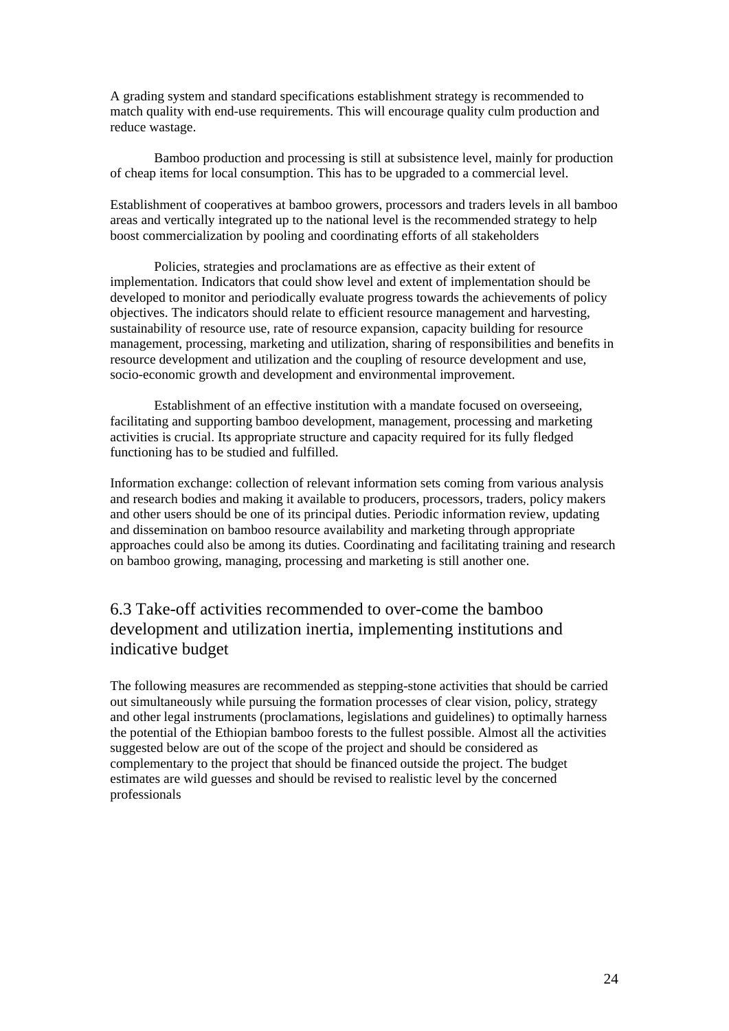A grading system and standard specifications establishment strategy is recommended to match quality with end-use requirements. This will encourage quality culm production and reduce wastage.

 $\hat{A}$  Bamboo production and processing is still at subsistence level, mainly for production of cheap items for local consumption. This has to be upgraded to a commercial level.

Establishment of cooperatives at bamboo growers, processors and traders levels in all bamboo areas and vertically integrated up to the national level is the recommended strategy to help boost commercialization by pooling and coordinating efforts of all stakeholders

 $\hat{A}$  Policies, strategies and proclamations are as effective as their extent of implementation. Indicators that could show level and extent of implementation should be developed to monitor and periodically evaluate progress towards the achievements of policy objectives. The indicators should relate to efficient resource management and harvesting, sustainability of resource use, rate of resource expansion, capacity building for resource management, processing, marketing and utilization, sharing of responsibilities and benefits in resource development and utilization and the coupling of resource development and use, socio-economic growth and development and environmental improvement.

 $\hat{A}$  Establishment of an effective institution with a mandate focused on overseeing, facilitating and supporting bamboo development, management, processing and marketing activities is crucial. Its appropriate structure and capacity required for its fully fledged functioning has to be studied and fulfilled.

Information exchange: collection of relevant information sets coming from various analysis and research bodies and making it available to producers, processors, traders, policy makers and other users should be one of its principal duties. Periodic information review, updating and dissemination on bamboo resource availability and marketing through appropriate approaches could also be among its duties. Coordinating and facilitating training and research on bamboo growing, managing, processing and marketing is still another one.

## 6.3 Take-off activities recommended to over-come the bamboo development and utilization inertia, implementing institutions and indicative budget

The following measures are recommended as stepping-stone activities that should be carried out simultaneously while pursuing the formation processes of clear vision, policy, strategy and other legal instruments (proclamations, legislations and guidelines) to optimally harness the potential of the Ethiopian bamboo forests to the fullest possible. Almost all the activities suggested below are out of the scope of the project and should be considered as complementary to the project that should be financed outside the project. The budget estimates are wild guesses and should be revised to realistic level by the concerned professionals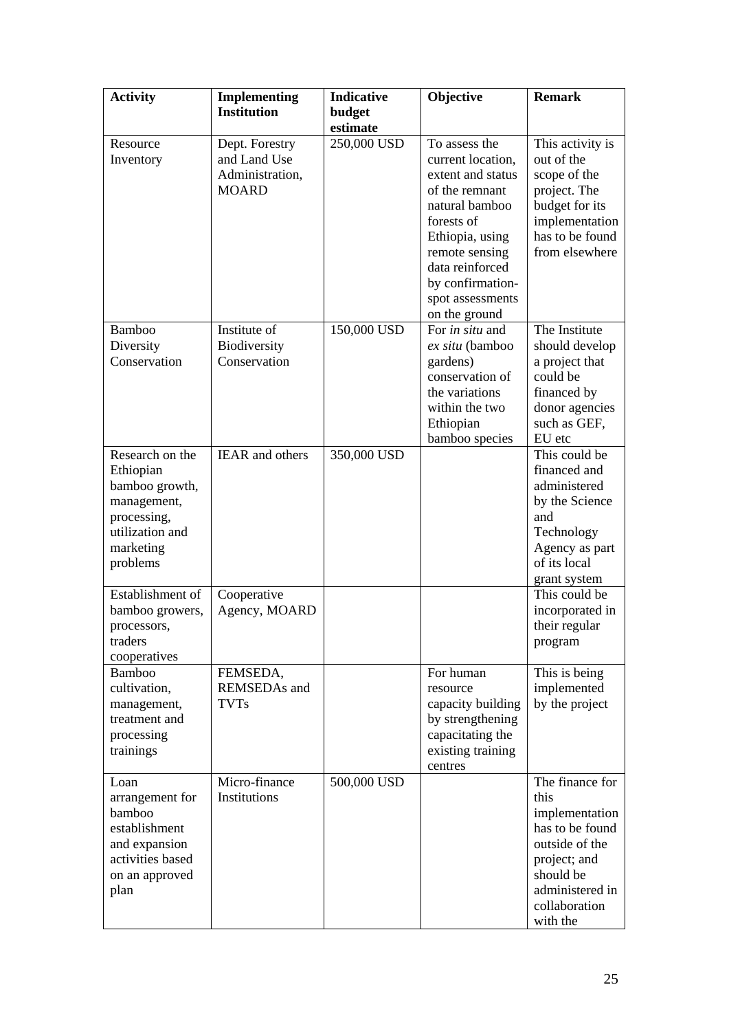| <b>Activity</b>                                                                                                          | <b>Implementing</b><br><b>Institution</b>                         | <b>Indicative</b><br>budget<br>estimate | Objective                                                                                                                                                                                                                  | <b>Remark</b>                                                                                                                                               |
|--------------------------------------------------------------------------------------------------------------------------|-------------------------------------------------------------------|-----------------------------------------|----------------------------------------------------------------------------------------------------------------------------------------------------------------------------------------------------------------------------|-------------------------------------------------------------------------------------------------------------------------------------------------------------|
| Resource<br>Inventory                                                                                                    | Dept. Forestry<br>and Land Use<br>Administration,<br><b>MOARD</b> | 250,000 USD                             | To assess the<br>current location,<br>extent and status<br>of the remnant<br>natural bamboo<br>forests of<br>Ethiopia, using<br>remote sensing<br>data reinforced<br>by confirmation-<br>spot assessments<br>on the ground | This activity is<br>out of the<br>scope of the<br>project. The<br>budget for its<br>implementation<br>has to be found<br>from elsewhere                     |
| Bamboo<br>Diversity<br>Conservation                                                                                      | Institute of<br>Biodiversity<br>Conservation                      | 150,000 USD                             | For in situ and<br>ex situ (bamboo<br>gardens)<br>conservation of<br>the variations<br>within the two<br>Ethiopian<br>bamboo species                                                                                       | The Institute<br>should develop<br>a project that<br>could be<br>financed by<br>donor agencies<br>such as GEF,<br>EU etc                                    |
| Research on the<br>Ethiopian<br>bamboo growth,<br>management,<br>processing,<br>utilization and<br>marketing<br>problems | <b>IEAR</b> and others                                            | 350,000 USD                             |                                                                                                                                                                                                                            | This could be<br>financed and<br>administered<br>by the Science<br>and<br>Technology<br>Agency as part<br>of its local<br>grant system                      |
| Establishment of<br>bamboo growers,<br>processors,<br>traders<br>cooperatives                                            | Cooperative<br>Agency, MOARD                                      |                                         |                                                                                                                                                                                                                            | This could be<br>incorporated in<br>their regular<br>program                                                                                                |
| <b>Bamboo</b><br>cultivation,<br>management,<br>treatment and<br>processing<br>trainings                                 | FEMSEDA,<br><b>REMSEDAs</b> and<br><b>TVTs</b>                    |                                         | For human<br>resource<br>capacity building<br>by strengthening<br>capacitating the<br>existing training<br>centres                                                                                                         | This is being<br>implemented<br>by the project                                                                                                              |
| Loan<br>arrangement for<br>bamboo<br>establishment<br>and expansion<br>activities based<br>on an approved<br>plan        | Micro-finance<br>Institutions                                     | 500,000 USD                             |                                                                                                                                                                                                                            | The finance for<br>this<br>implementation<br>has to be found<br>outside of the<br>project; and<br>should be<br>administered in<br>collaboration<br>with the |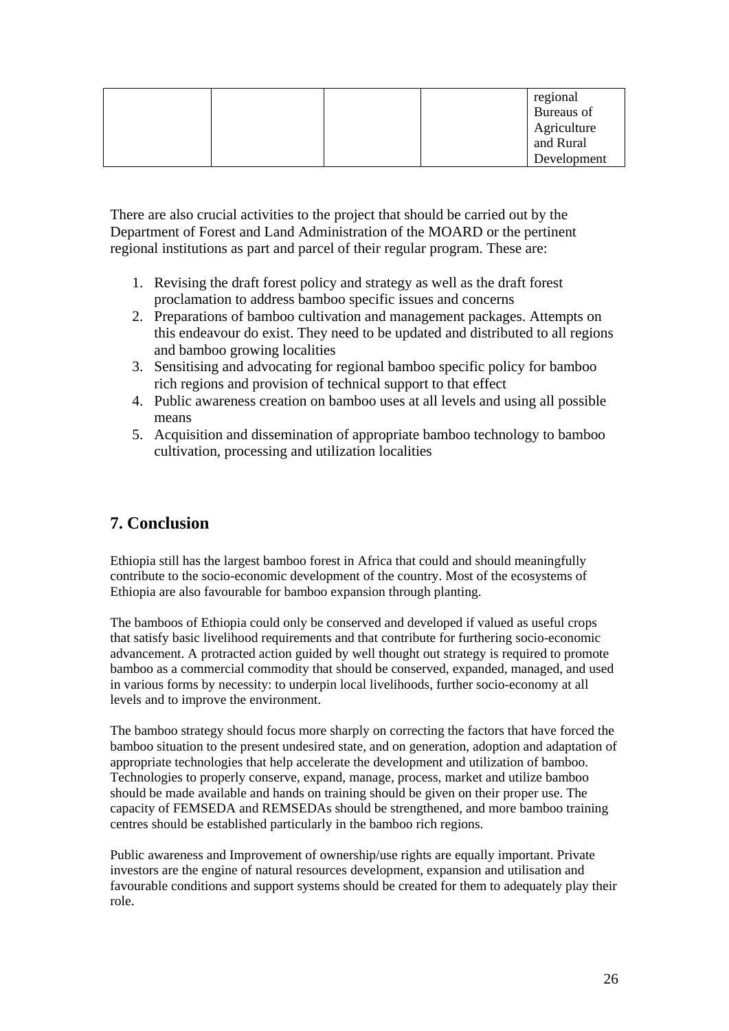|  |  | regional    |
|--|--|-------------|
|  |  | Bureaus of  |
|  |  | Agriculture |
|  |  | and Rural   |
|  |  | Development |

There are also crucial activities to the project that should be carried out by the Department of Forest and Land Administration of the MOARD or the pertinent regional institutions as part and parcel of their regular program. These are:

- 1. Revising the draft forest policy and strategy as well as the draft forest proclamation to address bamboo specific issues and concerns
- 2. Preparations of bamboo cultivation and management packages. Attempts on this endeavour do exist. They need to be updated and distributed to all regions and bamboo growing localities
- 3. Sensitising and advocating for regional bamboo specific policy for bamboo rich regions and provision of technical support to that effect
- 4. Public awareness creation on bamboo uses at all levels and using all possible means
- 5. Acquisition and dissemination of appropriate bamboo technology to bamboo cultivation, processing and utilization localities

## **7. Conclusion**

Ethiopia still has the largest bamboo forest in Africa that could and should meaningfully contribute to the socio-economic development of the country. Most of the ecosystems of Ethiopia are also favourable for bamboo expansion through planting.

The bamboos of Ethiopia could only be conserved and developed if valued as useful crops that satisfy basic livelihood requirements and that contribute for furthering socio-economic advancement. A protracted action guided by well thought out strategy is required to promote bamboo as a commercial commodity that should be conserved, expanded, managed, and used in various forms by necessity: to underpin local livelihoods, further socio-economy at all levels and to improve the environment.

The bamboo strategy should focus more sharply on correcting the factors that have forced the bamboo situation to the present undesired state, and on generation, adoption and adaptation of appropriate technologies that help accelerate the development and utilization of bamboo. Technologies to properly conserve, expand, manage, process, market and utilize bamboo should be made available and hands on training should be given on their proper use. The capacity of FEMSEDA and REMSEDAs should be strengthened, and more bamboo training centres should be established particularly in the bamboo rich regions.

Public awareness and Improvement of ownership/use rights are equally important. Private investors are the engine of natural resources development, expansion and utilisation and favourable conditions and support systems should be created for them to adequately play their role.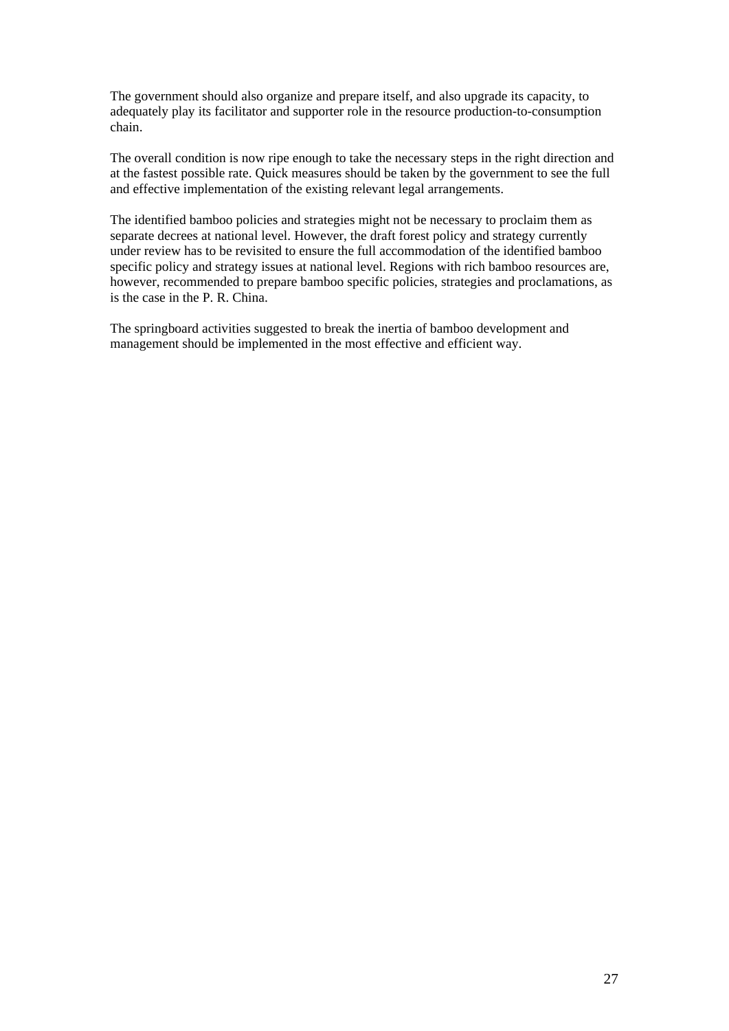The government should also organize and prepare itself, and also upgrade its capacity, to adequately play its facilitator and supporter role in the resource production-to-consumption chain.

The overall condition is now ripe enough to take the necessary steps in the right direction and at the fastest possible rate. Quick measures should be taken by the government to see the full and effective implementation of the existing relevant legal arrangements.

The identified bamboo policies and strategies might not be necessary to proclaim them as separate decrees at national level. However, the draft forest policy and strategy currently under review has to be revisited to ensure the full accommodation of the identified bamboo specific policy and strategy issues at national level. Regions with rich bamboo resources are, however, recommended to prepare bamboo specific policies, strategies and proclamations, as is the case in the P. R. China.

The springboard activities suggested to break the inertia of bamboo development and management should be implemented in the most effective and efficient way.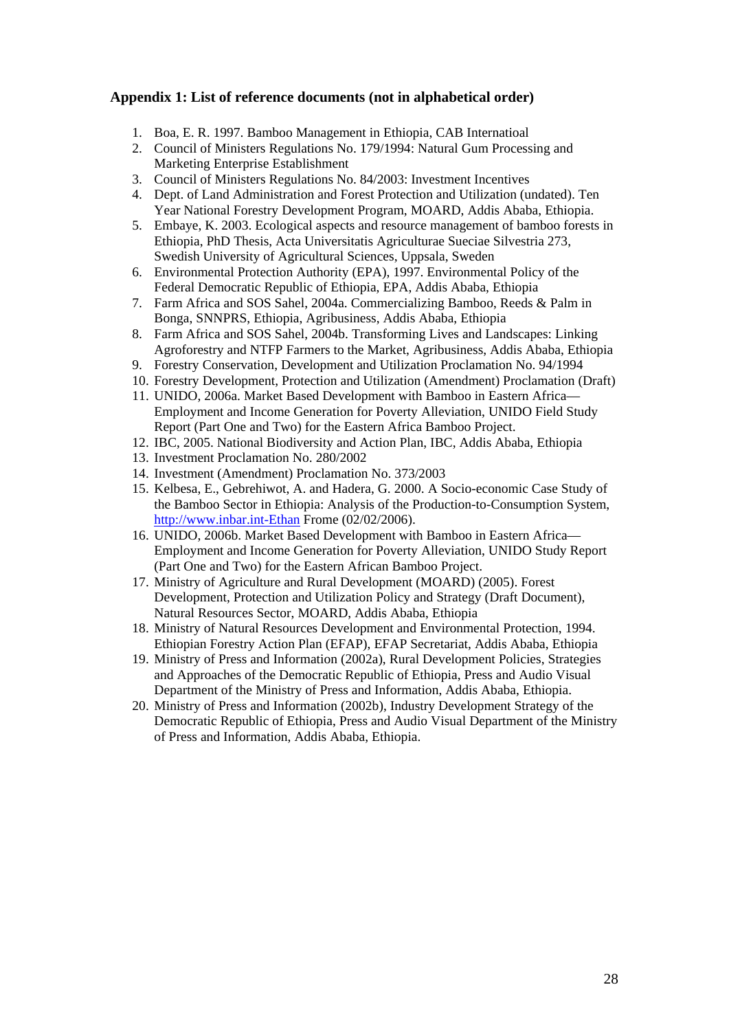## **Appendix 1: List of reference documents (not in alphabetical order)**

- 1. Boa, E. R. 1997. Bamboo Management in Ethiopia, CAB Internatioal
- 2. Council of Ministers Regulations No. 179/1994: Natural Gum Processing and Marketing Enterprise Establishment
- 3. Council of Ministers Regulations No. 84/2003: Investment Incentives
- 4. Dept. of Land Administration and Forest Protection and Utilization (undated). Ten Year National Forestry Development Program, MOARD, Addis Ababa, Ethiopia.
- 5. Embaye, K. 2003. Ecological aspects and resource management of bamboo forests in Ethiopia, PhD Thesis, Acta Universitatis Agriculturae Sueciae Silvestria 273, Swedish University of Agricultural Sciences, Uppsala, Sweden
- 6. Environmental Protection Authority (EPA), 1997. Environmental Policy of the Federal Democratic Republic of Ethiopia, EPA, Addis Ababa, Ethiopia
- 7. Farm Africa and SOS Sahel, 2004a. Commercializing Bamboo, Reeds & Palm in Bonga, SNNPRS, Ethiopia, Agribusiness, Addis Ababa, Ethiopia
- 8. Farm Africa and SOS Sahel, 2004b. Transforming Lives and Landscapes: Linking Agroforestry and NTFP Farmers to the Market, Agribusiness, Addis Ababa, Ethiopia
- 9. Forestry Conservation, Development and Utilization Proclamation No. 94/1994
- 10. Forestry Development, Protection and Utilization (Amendment) Proclamation (Draft)
- 11. UNIDO, 2006a. Market Based Development with Bamboo in Eastern Africa— Employment and Income Generation for Poverty Alleviation, UNIDO Field Study Report (Part One and Two) for the Eastern Africa Bamboo Project.
- 12. IBC, 2005. National Biodiversity and Action Plan, IBC, Addis Ababa, Ethiopia
- 13. Investment Proclamation No. 280/2002
- 14. Investment (Amendment) Proclamation No. 373/2003
- 15. Kelbesa, E., Gebrehiwot, A. and Hadera, G. 2000. A Socio-economic Case Study of the Bamboo Sector in Ethiopia: Analysis of the Production-to-Consumption System, [http://www.inbar.int-Ethan](http://www.inbar.int-ethan/) Frome (02/02/2006).
- 16. UNIDO, 2006b. Market Based Development with Bamboo in Eastern Africa— Employment and Income Generation for Poverty Alleviation, UNIDO Study Report (Part One and Two) for the Eastern African Bamboo Project.
- 17. Ministry of Agriculture and Rural Development (MOARD) (2005). Forest Development, Protection and Utilization Policy and Strategy (Draft Document), Natural Resources Sector, MOARD, Addis Ababa, Ethiopia
- 18. Ministry of Natural Resources Development and Environmental Protection, 1994. Ethiopian Forestry Action Plan (EFAP), EFAP Secretariat, Addis Ababa, Ethiopia
- 19. Ministry of Press and Information (2002a), Rural Development Policies, Strategies and Approaches of the Democratic Republic of Ethiopia, Press and Audio Visual Department of the Ministry of Press and Information, Addis Ababa, Ethiopia.
- 20. Ministry of Press and Information (2002b), Industry Development Strategy of the Democratic Republic of Ethiopia, Press and Audio Visual Department of the Ministry of Press and Information, Addis Ababa, Ethiopia.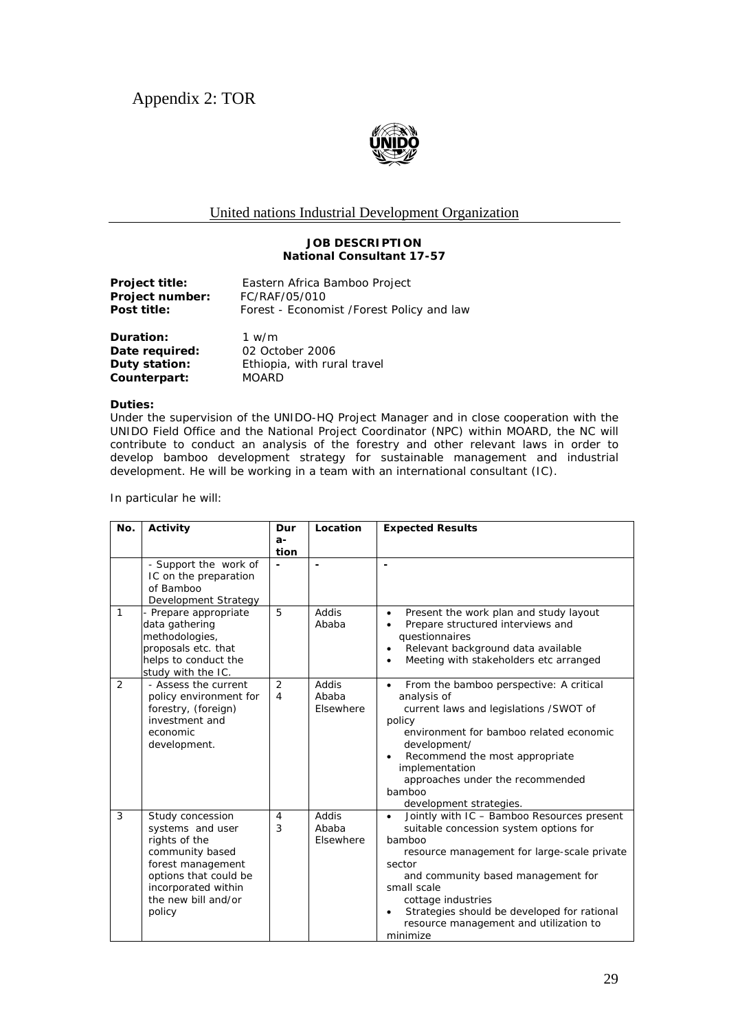

## United nations Industrial Development Organization

#### **JOB DESCRIPTION National Consultant 17-57**

| Eastern Africa Bamboo Project<br>FC/RAF/05/010<br>Forest - Economist /Forest Policy and law |
|---------------------------------------------------------------------------------------------|
| 1 $w/m$<br>02 October 2006                                                                  |
|                                                                                             |

**Duty station:** Ethiopia, with rural travel **Counterpart:** MOARD

#### **Duties:**

Under the supervision of the UNIDO-HQ Project Manager and in close cooperation with the UNIDO Field Office and the National Project Coordinator (NPC) within MOARD, the NC will contribute to conduct an analysis of the forestry and other relevant laws in order to develop bamboo development strategy for sustainable management and industrial development. He will be working in a team with an international consultant (IC).

In particular he will:

| No.           | Activity                                                                                                                                                                       | Dur                | Location                    | <b>Expected Results</b>                                                                                                                                                                                                                                                                                                                                           |
|---------------|--------------------------------------------------------------------------------------------------------------------------------------------------------------------------------|--------------------|-----------------------------|-------------------------------------------------------------------------------------------------------------------------------------------------------------------------------------------------------------------------------------------------------------------------------------------------------------------------------------------------------------------|
|               |                                                                                                                                                                                | а-                 |                             |                                                                                                                                                                                                                                                                                                                                                                   |
|               | - Support the work of<br>IC on the preparation<br>of Bamboo<br>Development Strategy                                                                                            | tion               |                             |                                                                                                                                                                                                                                                                                                                                                                   |
| $\mathbf{1}$  | - Prepare appropriate<br>data gathering<br>methodologies,<br>proposals etc. that<br>helps to conduct the<br>study with the IC.                                                 | 5                  | Addis<br>Ababa              | Present the work plan and study layout<br>$\bullet$<br>Prepare structured interviews and<br>$\bullet$<br>questionnaires<br>Relevant background data available<br>$\bullet$<br>Meeting with stakeholders etc arranged<br>$\bullet$                                                                                                                                 |
| $\mathcal{P}$ | - Assess the current<br>policy environment for<br>forestry, (foreign)<br>investment and<br>economic<br>development.                                                            | $\mathcal{P}$<br>4 | addis<br>Ababa<br>Elsewhere | From the bamboo perspective: A critical<br>$\bullet$<br>analysis of<br>current laws and legislations /SWOT of<br>policy<br>environment for bamboo related economic<br>development/<br>Recommend the most appropriate<br>implementation<br>approaches under the recommended<br>bamboo<br>development strategies.                                                   |
| 3             | Study concession<br>systems and user<br>rights of the<br>community based<br>forest management<br>options that could be<br>incorporated within<br>the new bill and/or<br>policy | 4<br>3             | Addis<br>Ahaha<br>Elsewhere | Jointly with IC - Bamboo Resources present<br>$\bullet$<br>suitable concession system options for<br>bamboo<br>resource management for large-scale private<br>sector<br>and community based management for<br>small scale<br>cottage industries<br>Strategies should be developed for rational<br>$\bullet$<br>resource management and utilization to<br>minimize |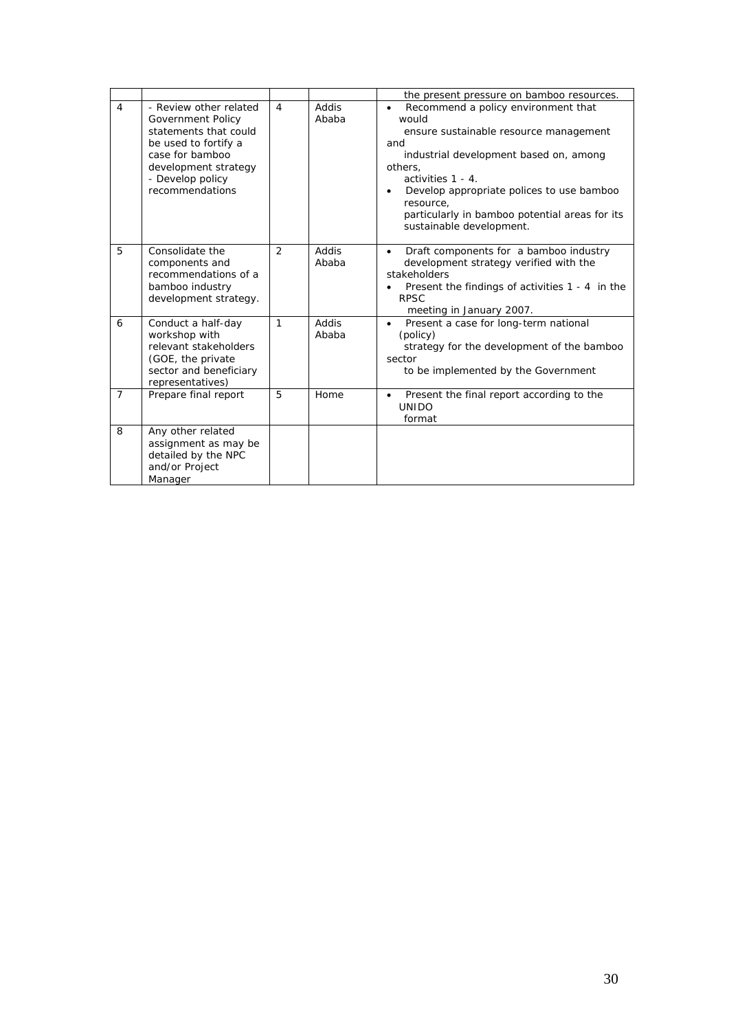|                |                                                                                                                                                                                |                |                | the present pressure on bamboo resources.                                                                                                                                                                                                                                                                                                 |
|----------------|--------------------------------------------------------------------------------------------------------------------------------------------------------------------------------|----------------|----------------|-------------------------------------------------------------------------------------------------------------------------------------------------------------------------------------------------------------------------------------------------------------------------------------------------------------------------------------------|
| 4              | - Review other related<br>Government Policy<br>statements that could<br>be used to fortify a<br>case for bamboo<br>development strategy<br>- Develop policy<br>recommendations | $\overline{4}$ | Addis<br>Ababa | Recommend a policy environment that<br>$\bullet$<br>would<br>ensure sustainable resource management<br>and<br>industrial development based on, among<br>others,<br>activities 1 - 4.<br>Develop appropriate polices to use bamboo<br>$\bullet$<br>resource,<br>particularly in bamboo potential areas for its<br>sustainable development. |
| 5              | Consolidate the<br>components and<br>recommendations of a<br>bamboo industry<br>development strategy.                                                                          | 2              | Addis<br>Ababa | Draft components for a bamboo industry<br>$\bullet$<br>development strategy verified with the<br>stakeholders<br>Present the findings of activities 1 - 4 in the<br><b>RPSC</b><br>meeting in January 2007.                                                                                                                               |
| 6              | Conduct a half-day<br>workshop with<br>relevant stakeholders<br>(GOE, the private)<br>sector and beneficiary<br>representatives)                                               | 1              | Addis<br>Ababa | Present a case for long-term national<br>$\bullet$<br>(policy)<br>strategy for the development of the bamboo<br>sector<br>to be implemented by the Government                                                                                                                                                                             |
| $\overline{7}$ | Prepare final report                                                                                                                                                           | 5              | Home           | Present the final report according to the<br>$\bullet$<br><b>UNIDO</b><br>format                                                                                                                                                                                                                                                          |
| 8              | Any other related<br>assignment as may be<br>detailed by the NPC<br>and/or Project<br>Manager                                                                                  |                |                |                                                                                                                                                                                                                                                                                                                                           |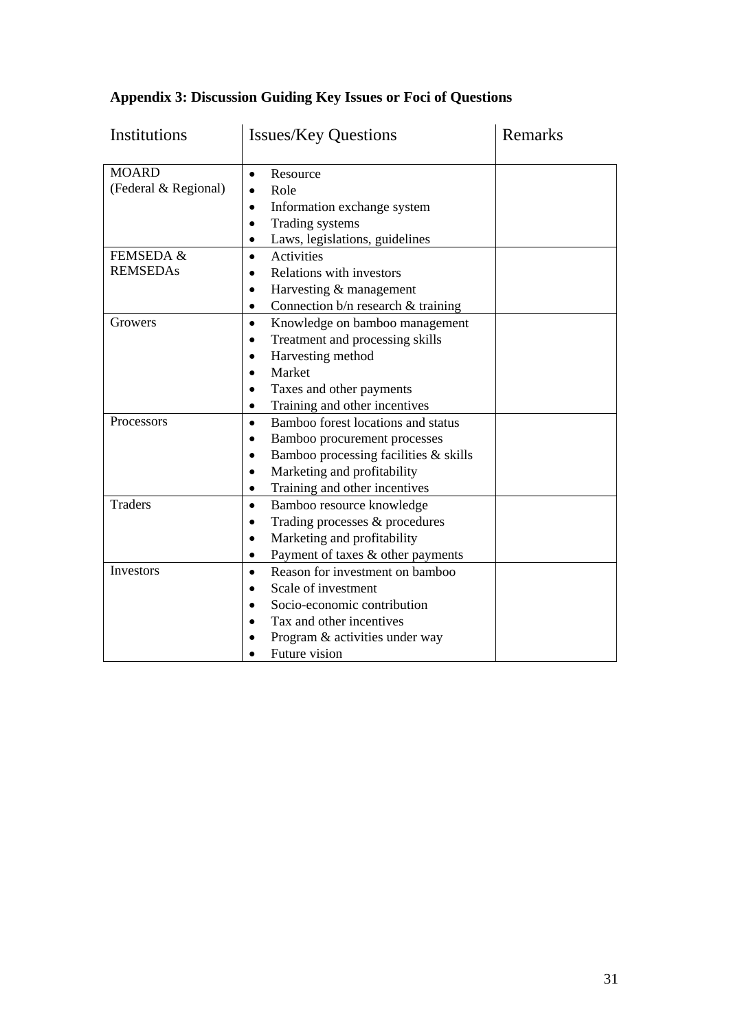| Institutions                         | <b>Issues/Key Questions</b>                                                                                                                                                                                                                 | Remarks |  |
|--------------------------------------|---------------------------------------------------------------------------------------------------------------------------------------------------------------------------------------------------------------------------------------------|---------|--|
| <b>MOARD</b><br>(Federal & Regional) | Resource<br>$\bullet$<br>Role<br>$\bullet$<br>Information exchange system<br>$\bullet$<br>Trading systems<br>$\bullet$                                                                                                                      |         |  |
| FEMSEDA &<br><b>REMSEDAs</b>         | Laws, legislations, guidelines<br>$\bullet$<br><b>Activities</b><br>$\bullet$<br>Relations with investors<br>Harvesting & management<br>$\bullet$<br>Connection b/n research & training<br>$\bullet$                                        |         |  |
| Growers                              | Knowledge on bamboo management<br>$\bullet$<br>Treatment and processing skills<br>$\bullet$<br>Harvesting method<br>$\bullet$<br>Market<br>$\bullet$<br>Taxes and other payments<br>$\bullet$<br>Training and other incentives<br>$\bullet$ |         |  |
| <b>Processors</b>                    | Bamboo forest locations and status<br>$\bullet$<br>Bamboo procurement processes<br>٠<br>Bamboo processing facilities $\&$ skills<br>$\bullet$<br>Marketing and profitability<br>$\bullet$<br>Training and other incentives<br>$\bullet$     |         |  |
| <b>Traders</b>                       | Bamboo resource knowledge<br>$\bullet$<br>Trading processes & procedures<br>$\bullet$<br>Marketing and profitability<br>$\bullet$<br>Payment of taxes & other payments<br>$\bullet$                                                         |         |  |
| Investors                            | Reason for investment on bamboo<br>$\bullet$<br>Scale of investment<br>$\bullet$<br>Socio-economic contribution<br>Tax and other incentives<br>Program & activities under way<br>Future vision                                              |         |  |

# **Appendix 3: Discussion Guiding Key Issues or Foci of Questions**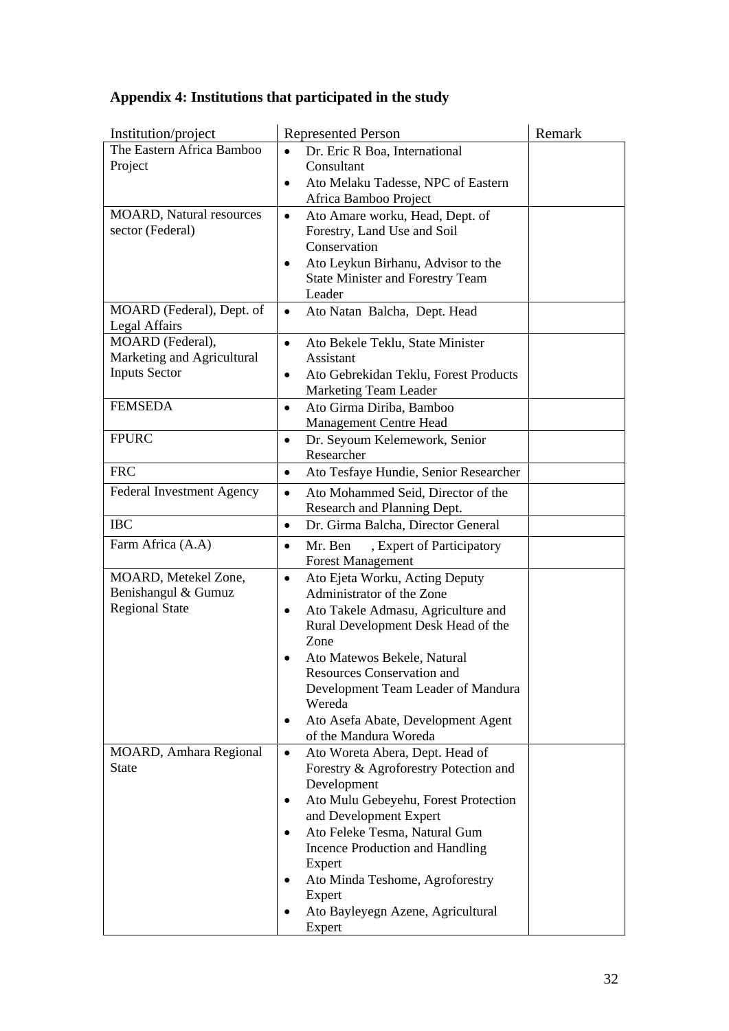# **Appendix 4: Institutions that participated in the study**

| Institution/project               | <b>Represented Person</b>                                            | Remark |
|-----------------------------------|----------------------------------------------------------------------|--------|
| The Eastern Africa Bamboo         | Dr. Eric R Boa, International<br>$\bullet$                           |        |
| Project                           | Consultant                                                           |        |
|                                   | Ato Melaku Tadesse, NPC of Eastern<br>$\bullet$                      |        |
|                                   | Africa Bamboo Project                                                |        |
| <b>MOARD, Natural resources</b>   | Ato Amare worku, Head, Dept. of<br>$\bullet$                         |        |
| sector (Federal)                  | Forestry, Land Use and Soil                                          |        |
|                                   | Conservation                                                         |        |
|                                   | Ato Leykun Birhanu, Advisor to the<br>٠                              |        |
|                                   | <b>State Minister and Forestry Team</b>                              |        |
|                                   | Leader                                                               |        |
| MOARD (Federal), Dept. of         | Ato Natan Balcha, Dept. Head<br>$\bullet$                            |        |
| Legal Affairs<br>MOARD (Federal), |                                                                      |        |
| Marketing and Agricultural        | Ato Bekele Teklu, State Minister<br>$\bullet$<br>Assistant           |        |
| <b>Inputs Sector</b>              | Ato Gebrekidan Teklu, Forest Products<br>٠                           |        |
|                                   | Marketing Team Leader                                                |        |
| <b>FEMSEDA</b>                    | Ato Girma Diriba, Bamboo<br>$\bullet$                                |        |
|                                   | Management Centre Head                                               |        |
| <b>FPURC</b>                      | Dr. Seyoum Kelemework, Senior<br>$\bullet$                           |        |
|                                   | Researcher                                                           |        |
| <b>FRC</b>                        | Ato Tesfaye Hundie, Senior Researcher<br>$\bullet$                   |        |
| Federal Investment Agency         | Ato Mohammed Seid, Director of the<br>$\bullet$                      |        |
|                                   | Research and Planning Dept.                                          |        |
| <b>IBC</b>                        | Dr. Girma Balcha, Director General<br>$\bullet$                      |        |
| Farm Africa (A.A)                 | Mr. Ben<br>, Expert of Participatory<br>$\bullet$                    |        |
|                                   | <b>Forest Management</b>                                             |        |
| MOARD, Metekel Zone,              | Ato Ejeta Worku, Acting Deputy<br>$\bullet$                          |        |
| Benishangul & Gumuz               | Administrator of the Zone                                            |        |
| <b>Regional State</b>             | Ato Takele Admasu, Agriculture and<br>$\bullet$                      |        |
|                                   | Rural Development Desk Head of the                                   |        |
|                                   | Zone                                                                 |        |
|                                   | Ato Matewos Bekele, Natural                                          |        |
|                                   | Resources Conservation and                                           |        |
|                                   | Development Team Leader of Mandura                                   |        |
|                                   | Wereda                                                               |        |
|                                   | Ato Asefa Abate, Development Agent<br>٠                              |        |
|                                   | of the Mandura Woreda                                                |        |
| MOARD, Amhara Regional            | Ato Woreta Abera, Dept. Head of<br>$\bullet$                         |        |
| <b>State</b>                      | Forestry & Agroforestry Potection and                                |        |
|                                   | Development                                                          |        |
|                                   | Ato Mulu Gebeyehu, Forest Protection<br>٠                            |        |
|                                   | and Development Expert<br>Ato Feleke Tesma, Natural Gum<br>$\bullet$ |        |
|                                   | Incence Production and Handling                                      |        |
|                                   | Expert                                                               |        |
|                                   | Ato Minda Teshome, Agroforestry                                      |        |
|                                   | Expert                                                               |        |
|                                   | Ato Bayleyegn Azene, Agricultural                                    |        |
|                                   | Expert                                                               |        |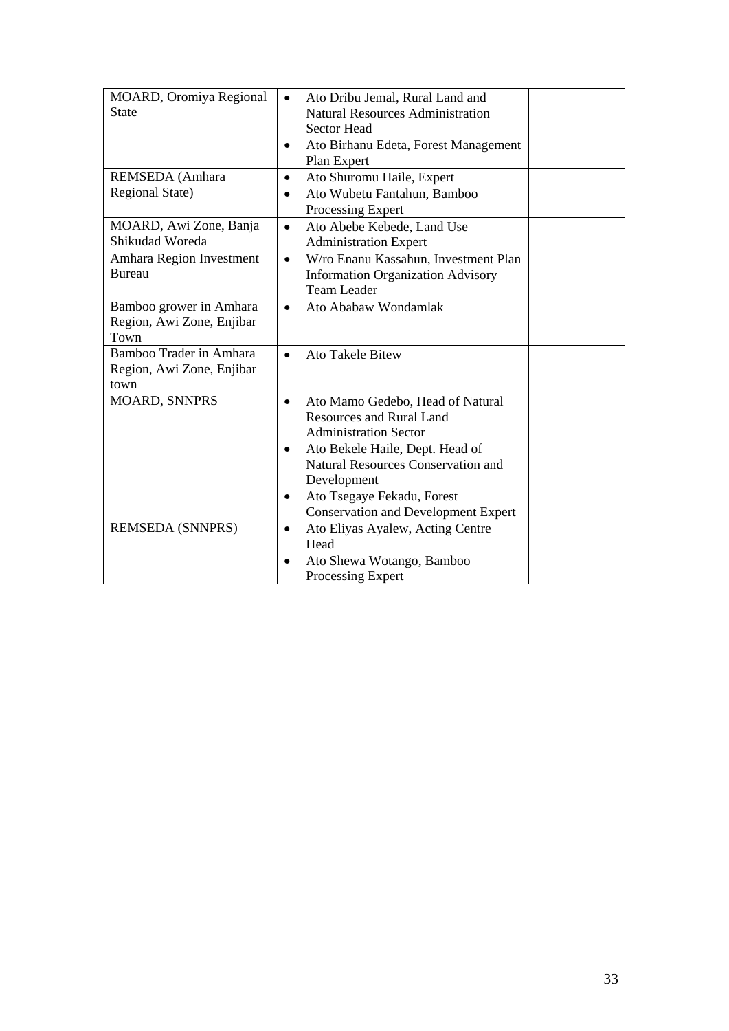| MOARD, Oromiya Regional<br><b>State</b>                      | Ato Dribu Jemal, Rural Land and<br>$\bullet$<br><b>Natural Resources Administration</b><br><b>Sector Head</b><br>Ato Birhanu Edeta, Forest Management<br>٠                                                                                                                                                    |  |
|--------------------------------------------------------------|---------------------------------------------------------------------------------------------------------------------------------------------------------------------------------------------------------------------------------------------------------------------------------------------------------------|--|
|                                                              | Plan Expert                                                                                                                                                                                                                                                                                                   |  |
| REMSEDA (Amhara<br>Regional State)                           | Ato Shuromu Haile, Expert<br>$\bullet$<br>Ato Wubetu Fantahun, Bamboo<br>$\bullet$<br>Processing Expert                                                                                                                                                                                                       |  |
| MOARD, Awi Zone, Banja<br>Shikudad Woreda                    | Ato Abebe Kebede, Land Use<br>$\bullet$<br><b>Administration Expert</b>                                                                                                                                                                                                                                       |  |
| Amhara Region Investment<br><b>Bureau</b>                    | W/ro Enanu Kassahun, Investment Plan<br>$\bullet$<br><b>Information Organization Advisory</b><br><b>Team Leader</b>                                                                                                                                                                                           |  |
| Bamboo grower in Amhara<br>Region, Awi Zone, Enjibar<br>Town | Ato Ababaw Wondamlak<br>$\bullet$                                                                                                                                                                                                                                                                             |  |
| Bamboo Trader in Amhara<br>Region, Awi Zone, Enjibar<br>town | <b>Ato Takele Bitew</b><br>$\bullet$                                                                                                                                                                                                                                                                          |  |
| <b>MOARD, SNNPRS</b>                                         | Ato Mamo Gedebo, Head of Natural<br>$\bullet$<br><b>Resources and Rural Land</b><br><b>Administration Sector</b><br>Ato Bekele Haile, Dept. Head of<br>$\bullet$<br><b>Natural Resources Conservation and</b><br>Development<br>Ato Tsegaye Fekadu, Forest<br>٠<br><b>Conservation and Development Expert</b> |  |
| <b>REMSEDA (SNNPRS)</b>                                      | Ato Eliyas Ayalew, Acting Centre<br>$\bullet$<br>Head<br>Ato Shewa Wotango, Bamboo<br>$\bullet$<br>Processing Expert                                                                                                                                                                                          |  |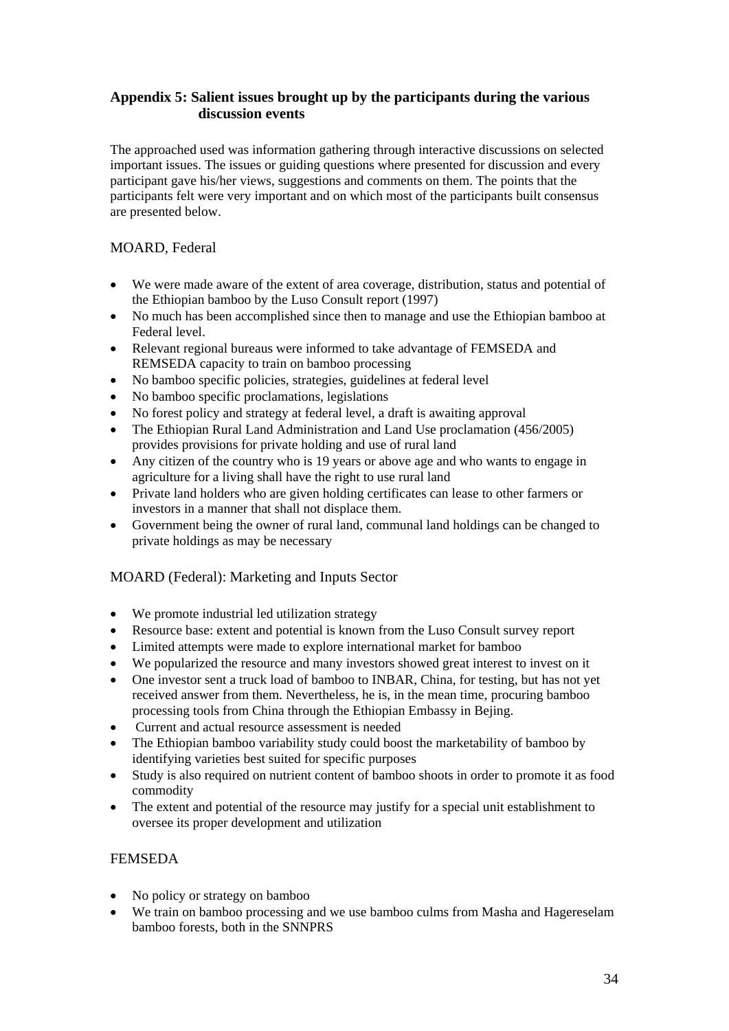## **Appendix 5: Salient issues brought up by the participants during the various discussion events**

The approached used was information gathering through interactive discussions on selected important issues. The issues or guiding questions where presented for discussion and every participant gave his/her views, suggestions and comments on them. The points that the participants felt were very important and on which most of the participants built consensus are presented below.

## MOARD, Federal

- We were made aware of the extent of area coverage, distribution, status and potential of the Ethiopian bamboo by the Luso Consult report (1997)
- No much has been accomplished since then to manage and use the Ethiopian bamboo at Federal level.
- Relevant regional bureaus were informed to take advantage of FEMSEDA and REMSEDA capacity to train on bamboo processing
- No bamboo specific policies, strategies, guidelines at federal level
- No bamboo specific proclamations, legislations
- No forest policy and strategy at federal level, a draft is awaiting approval
- The Ethiopian Rural Land Administration and Land Use proclamation (456/2005) provides provisions for private holding and use of rural land
- Any citizen of the country who is 19 years or above age and who wants to engage in agriculture for a living shall have the right to use rural land
- Private land holders who are given holding certificates can lease to other farmers or investors in a manner that shall not displace them.
- Government being the owner of rural land, communal land holdings can be changed to private holdings as may be necessary

## MOARD (Federal): Marketing and Inputs Sector

- We promote industrial led utilization strategy
- Resource base: extent and potential is known from the Luso Consult survey report
- Limited attempts were made to explore international market for bamboo
- We popularized the resource and many investors showed great interest to invest on it
- One investor sent a truck load of bamboo to INBAR, China, for testing, but has not yet received answer from them. Nevertheless, he is, in the mean time, procuring bamboo processing tools from China through the Ethiopian Embassy in Bejing.
- Current and actual resource assessment is needed
- The Ethiopian bamboo variability study could boost the marketability of bamboo by identifying varieties best suited for specific purposes
- Study is also required on nutrient content of bamboo shoots in order to promote it as food commodity
- The extent and potential of the resource may justify for a special unit establishment to oversee its proper development and utilization

## FEMSEDA

- No policy or strategy on bamboo
- We train on bamboo processing and we use bamboo culms from Masha and Hagereselam bamboo forests, both in the SNNPRS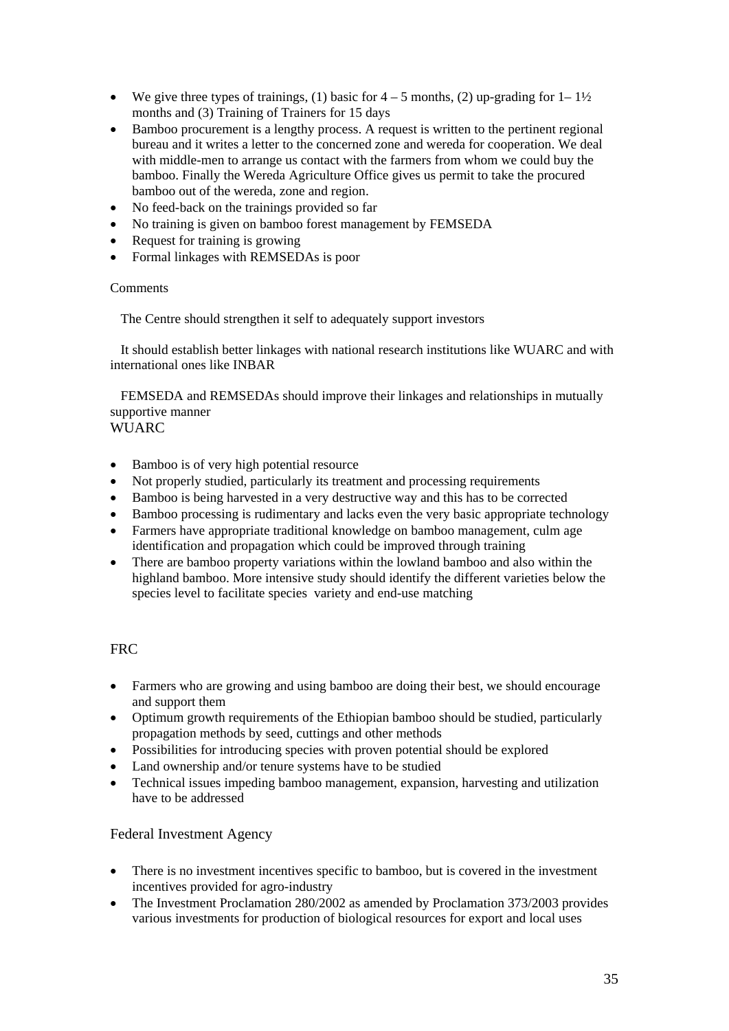- We give three types of trainings, (1) basic for  $4-5$  months, (2) up-grading for  $1-1\frac{1}{2}$ months and (3) Training of Trainers for 15 days
- Bamboo procurement is a lengthy process. A request is written to the pertinent regional bureau and it writes a letter to the concerned zone and wereda for cooperation. We deal with middle-men to arrange us contact with the farmers from whom we could buy the bamboo. Finally the Wereda Agriculture Office gives us permit to take the procured bamboo out of the wereda, zone and region.
- No feed-back on the trainings provided so far
- No training is given on bamboo forest management by FEMSEDA
- Request for training is growing
- Formal linkages with REMSEDAs is poor

#### **Comments**

The Centre should strengthen it self to adequately support investors

 It should establish better linkages with national research institutions like WUARC and with international ones like INBAR

 FEMSEDA and REMSEDAs should improve their linkages and relationships in mutually supportive manner **WUARC** 

- Bamboo is of very high potential resource
- Not properly studied, particularly its treatment and processing requirements
- Bamboo is being harvested in a very destructive way and this has to be corrected
- Bamboo processing is rudimentary and lacks even the very basic appropriate technology
- Farmers have appropriate traditional knowledge on bamboo management, culm age identification and propagation which could be improved through training
- There are bamboo property variations within the lowland bamboo and also within the highland bamboo. More intensive study should identify the different varieties below the species level to facilitate species variety and end-use matching

## **FRC**

- Farmers who are growing and using bamboo are doing their best, we should encourage and support them
- Optimum growth requirements of the Ethiopian bamboo should be studied, particularly propagation methods by seed, cuttings and other methods
- Possibilities for introducing species with proven potential should be explored
- Land ownership and/or tenure systems have to be studied
- Technical issues impeding bamboo management, expansion, harvesting and utilization have to be addressed

## Federal Investment Agency

- There is no investment incentives specific to bamboo, but is covered in the investment incentives provided for agro-industry
- The Investment Proclamation 280/2002 as amended by Proclamation 373/2003 provides various investments for production of biological resources for export and local uses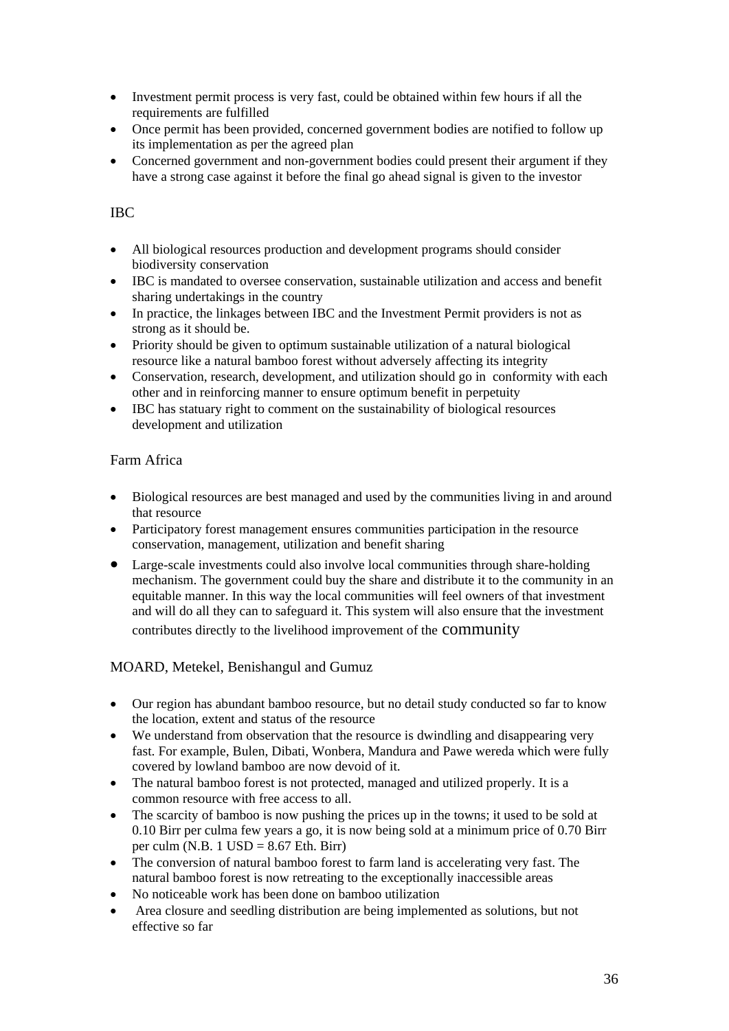- Investment permit process is very fast, could be obtained within few hours if all the requirements are fulfilled
- Once permit has been provided, concerned government bodies are notified to follow up its implementation as per the agreed plan
- Concerned government and non-government bodies could present their argument if they have a strong case against it before the final go ahead signal is given to the investor

## IBC

- All biological resources production and development programs should consider biodiversity conservation
- IBC is mandated to oversee conservation, sustainable utilization and access and benefit sharing undertakings in the country
- In practice, the linkages between IBC and the Investment Permit providers is not as strong as it should be.
- Priority should be given to optimum sustainable utilization of a natural biological resource like a natural bamboo forest without adversely affecting its integrity
- Conservation, research, development, and utilization should go in conformity with each other and in reinforcing manner to ensure optimum benefit in perpetuity
- IBC has statuary right to comment on the sustainability of biological resources development and utilization

## Farm Africa

- Biological resources are best managed and used by the communities living in and around that resource
- Participatory forest management ensures communities participation in the resource conservation, management, utilization and benefit sharing
- Large-scale investments could also involve local communities through share-holding mechanism. The government could buy the share and distribute it to the community in an equitable manner. In this way the local communities will feel owners of that investment and will do all they can to safeguard it. This system will also ensure that the investment contributes directly to the livelihood improvement of the community

## MOARD, Metekel, Benishangul and Gumuz

- Our region has abundant bamboo resource, but no detail study conducted so far to know the location, extent and status of the resource
- We understand from observation that the resource is dwindling and disappearing very fast. For example, Bulen, Dibati, Wonbera, Mandura and Pawe wereda which were fully covered by lowland bamboo are now devoid of it.
- The natural bamboo forest is not protected, managed and utilized properly. It is a common resource with free access to all.
- The scarcity of bamboo is now pushing the prices up in the towns; it used to be sold at 0.10 Birr per culma few years a go, it is now being sold at a minimum price of 0.70 Birr per culm (N.B. 1 USD =  $8.67$  Eth. Birr)
- The conversion of natural bamboo forest to farm land is accelerating very fast. The natural bamboo forest is now retreating to the exceptionally inaccessible areas
- No noticeable work has been done on bamboo utilization
- Area closure and seedling distribution are being implemented as solutions, but not effective so far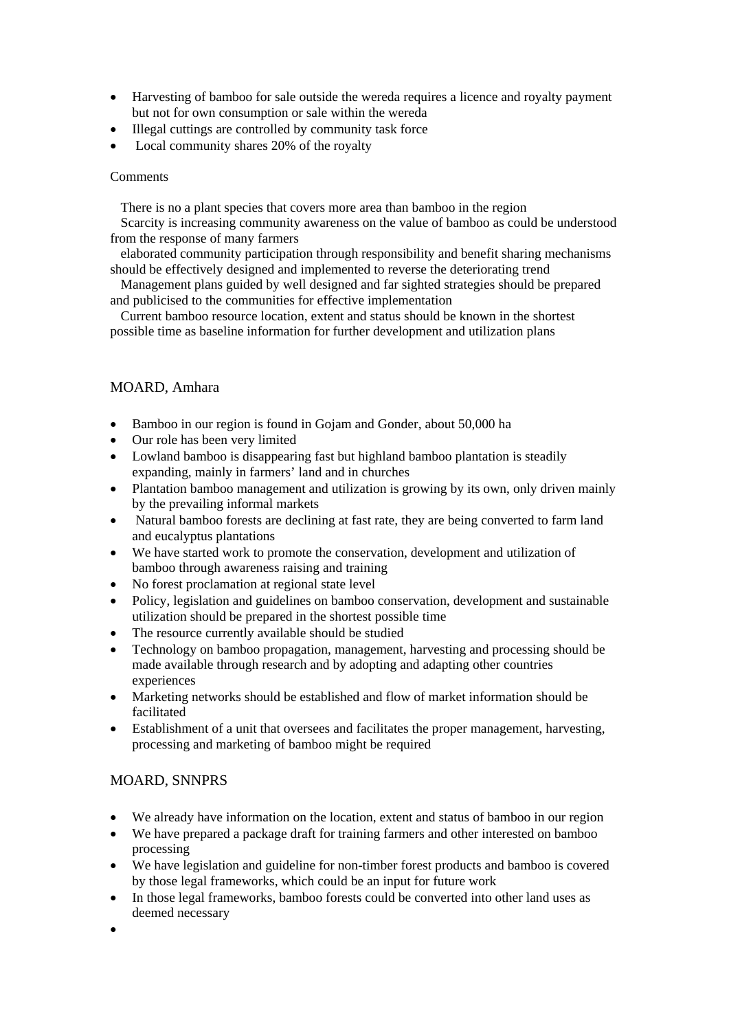- Harvesting of bamboo for sale outside the wereda requires a licence and royalty payment but not for own consumption or sale within the wereda
- Illegal cuttings are controlled by community task force
- Local community shares 20% of the royalty

#### **Comments**

There is no a plant species that covers more area than bamboo in the region

 Scarcity is increasing community awareness on the value of bamboo as could be understood from the response of many farmers

 elaborated community participation through responsibility and benefit sharing mechanisms should be effectively designed and implemented to reverse the deteriorating trend

 Management plans guided by well designed and far sighted strategies should be prepared and publicised to the communities for effective implementation

 Current bamboo resource location, extent and status should be known in the shortest possible time as baseline information for further development and utilization plans

## MOARD, Amhara

- Bamboo in our region is found in Gojam and Gonder, about 50,000 ha
- Our role has been very limited
- Lowland bamboo is disappearing fast but highland bamboo plantation is steadily expanding, mainly in farmers' land and in churches
- Plantation bamboo management and utilization is growing by its own, only driven mainly by the prevailing informal markets
- Natural bamboo forests are declining at fast rate, they are being converted to farm land and eucalyptus plantations
- We have started work to promote the conservation, development and utilization of bamboo through awareness raising and training
- No forest proclamation at regional state level
- Policy, legislation and guidelines on bamboo conservation, development and sustainable utilization should be prepared in the shortest possible time
- The resource currently available should be studied
- Technology on bamboo propagation, management, harvesting and processing should be made available through research and by adopting and adapting other countries experiences
- Marketing networks should be established and flow of market information should be facilitated
- Establishment of a unit that oversees and facilitates the proper management, harvesting, processing and marketing of bamboo might be required

## MOARD, SNNPRS

- We already have information on the location, extent and status of bamboo in our region
- We have prepared a package draft for training farmers and other interested on bamboo processing
- We have legislation and guideline for non-timber forest products and bamboo is covered by those legal frameworks, which could be an input for future work
- In those legal frameworks, bamboo forests could be converted into other land uses as deemed necessary

•